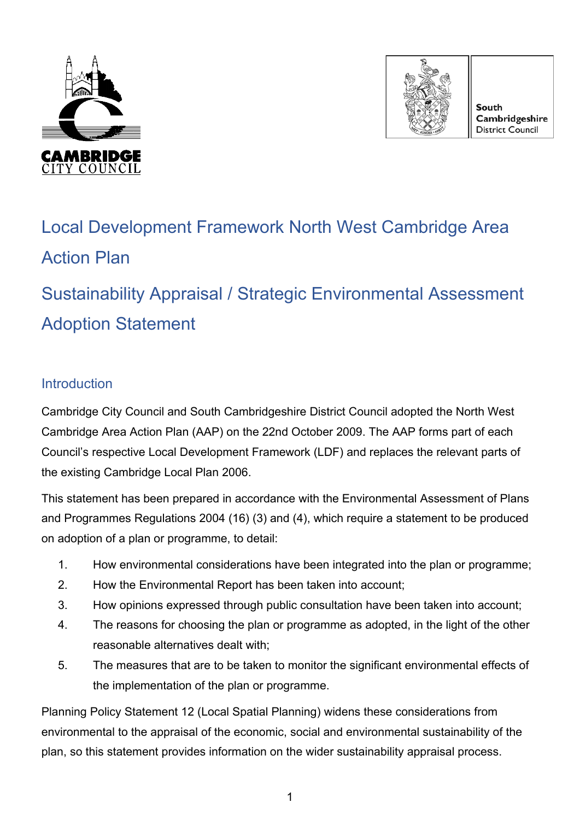



**South** Cambridgeshire District Council

# Local Development Framework North West Cambridge Area Action Plan

Sustainability Appraisal / Strategic Environmental Assessment Adoption Statement

## **Introduction**

Cambridge City Council and South Cambridgeshire District Council adopted the North West Cambridge Area Action Plan (AAP) on the 22nd October 2009. The AAP forms part of each Council's respective Local Development Framework (LDF) and replaces the relevant parts of the existing Cambridge Local Plan 2006.

This statement has been prepared in accordance with the Environmental Assessment of Plans and Programmes Regulations 2004 (16) (3) and (4), which require a statement to be produced on adoption of a plan or programme, to detail:

- 1. How environmental considerations have been integrated into the plan or programme;
- 2. How the Environmental Report has been taken into account;
- 3. How opinions expressed through public consultation have been taken into account;
- 4. The reasons for choosing the plan or programme as adopted, in the light of the other reasonable alternatives dealt with;
- 5. The measures that are to be taken to monitor the significant environmental effects of the implementation of the plan or programme.

Planning Policy Statement 12 (Local Spatial Planning) widens these considerations from environmental to the appraisal of the economic, social and environmental sustainability of the plan, so this statement provides information on the wider sustainability appraisal process.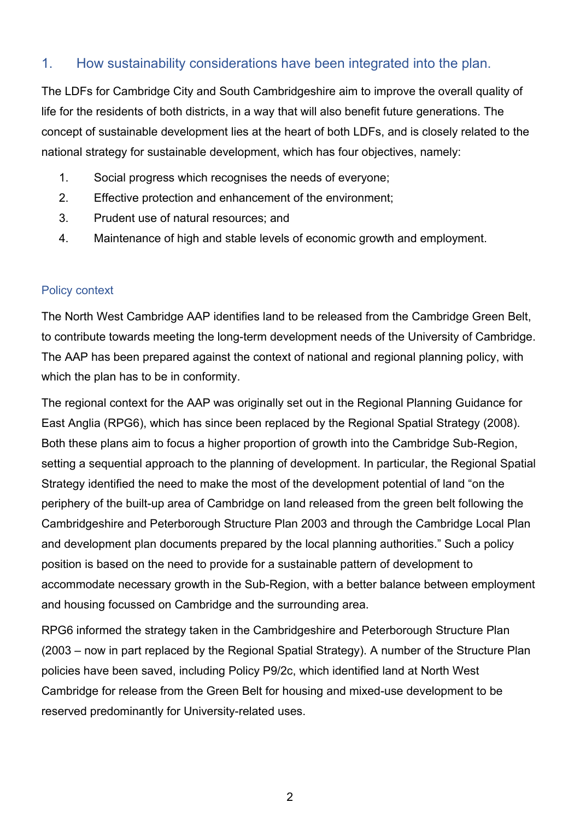## 1. How sustainability considerations have been integrated into the plan.

The LDFs for Cambridge City and South Cambridgeshire aim to improve the overall quality of life for the residents of both districts, in a way that will also benefit future generations. The concept of sustainable development lies at the heart of both LDFs, and is closely related to the national strategy for sustainable development, which has four objectives, namely:

- 1. Social progress which recognises the needs of everyone;
- 2. Effective protection and enhancement of the environment;
- 3. Prudent use of natural resources; and
- 4. Maintenance of high and stable levels of economic growth and employment.

#### Policy context

The North West Cambridge AAP identifies land to be released from the Cambridge Green Belt, to contribute towards meeting the long-term development needs of the University of Cambridge. The AAP has been prepared against the context of national and regional planning policy, with which the plan has to be in conformity.

The regional context for the AAP was originally set out in the Regional Planning Guidance for East Anglia (RPG6), which has since been replaced by the Regional Spatial Strategy (2008). Both these plans aim to focus a higher proportion of growth into the Cambridge Sub-Region, setting a sequential approach to the planning of development. In particular, the Regional Spatial Strategy identified the need to make the most of the development potential of land "on the periphery of the built-up area of Cambridge on land released from the green belt following the Cambridgeshire and Peterborough Structure Plan 2003 and through the Cambridge Local Plan and development plan documents prepared by the local planning authorities." Such a policy position is based on the need to provide for a sustainable pattern of development to accommodate necessary growth in the Sub-Region, with a better balance between employment and housing focussed on Cambridge and the surrounding area.

RPG6 informed the strategy taken in the Cambridgeshire and Peterborough Structure Plan (2003 – now in part replaced by the Regional Spatial Strategy). A number of the Structure Plan policies have been saved, including Policy P9/2c, which identified land at North West Cambridge for release from the Green Belt for housing and mixed-use development to be reserved predominantly for University-related uses.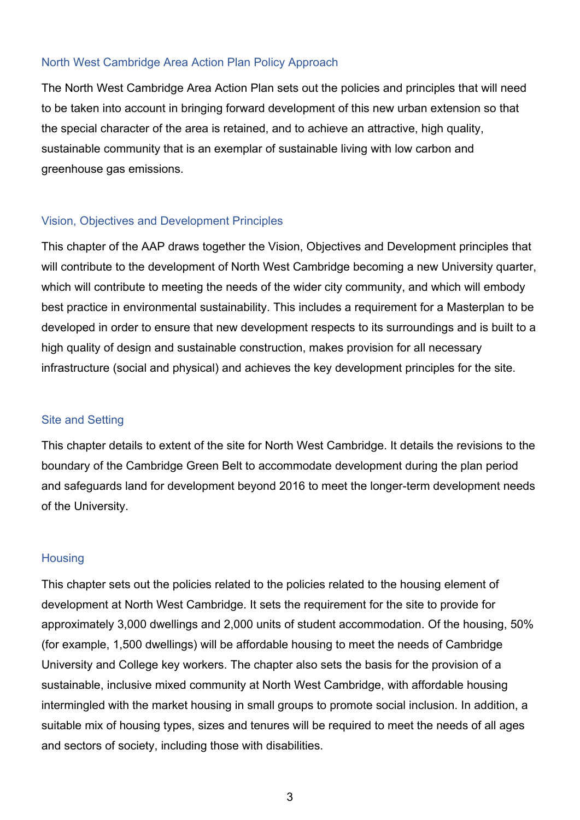#### North West Cambridge Area Action Plan Policy Approach

The North West Cambridge Area Action Plan sets out the policies and principles that will need to be taken into account in bringing forward development of this new urban extension so that the special character of the area is retained, and to achieve an attractive, high quality, sustainable community that is an exemplar of sustainable living with low carbon and greenhouse gas emissions.

#### Vision, Objectives and Development Principles

This chapter of the AAP draws together the Vision, Objectives and Development principles that will contribute to the development of North West Cambridge becoming a new University quarter, which will contribute to meeting the needs of the wider city community, and which will embody best practice in environmental sustainability. This includes a requirement for a Masterplan to be developed in order to ensure that new development respects to its surroundings and is built to a high quality of design and sustainable construction, makes provision for all necessary infrastructure (social and physical) and achieves the key development principles for the site.

## Site and Setting

This chapter details to extent of the site for North West Cambridge. It details the revisions to the boundary of the Cambridge Green Belt to accommodate development during the plan period and safeguards land for development beyond 2016 to meet the longer-term development needs of the University.

## **Housing**

This chapter sets out the policies related to the policies related to the housing element of development at North West Cambridge. It sets the requirement for the site to provide for approximately 3,000 dwellings and 2,000 units of student accommodation. Of the housing, 50% (for example, 1,500 dwellings) will be affordable housing to meet the needs of Cambridge University and College key workers. The chapter also sets the basis for the provision of a sustainable, inclusive mixed community at North West Cambridge, with affordable housing intermingled with the market housing in small groups to promote social inclusion. In addition, a suitable mix of housing types, sizes and tenures will be required to meet the needs of all ages and sectors of society, including those with disabilities.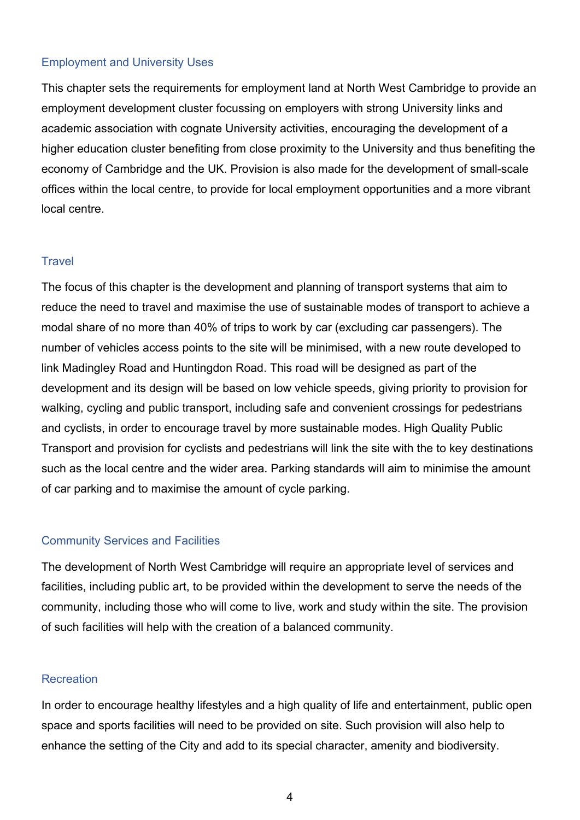#### Employment and University Uses

This chapter sets the requirements for employment land at North West Cambridge to provide an employment development cluster focussing on employers with strong University links and academic association with cognate University activities, encouraging the development of a higher education cluster benefiting from close proximity to the University and thus benefiting the economy of Cambridge and the UK. Provision is also made for the development of small-scale offices within the local centre, to provide for local employment opportunities and a more vibrant local centre.

#### **Travel**

The focus of this chapter is the development and planning of transport systems that aim to reduce the need to travel and maximise the use of sustainable modes of transport to achieve a modal share of no more than 40% of trips to work by car (excluding car passengers). The number of vehicles access points to the site will be minimised, with a new route developed to link Madingley Road and Huntingdon Road. This road will be designed as part of the development and its design will be based on low vehicle speeds, giving priority to provision for walking, cycling and public transport, including safe and convenient crossings for pedestrians and cyclists, in order to encourage travel by more sustainable modes. High Quality Public Transport and provision for cyclists and pedestrians will link the site with the to key destinations such as the local centre and the wider area. Parking standards will aim to minimise the amount of car parking and to maximise the amount of cycle parking.

#### Community Services and Facilities

The development of North West Cambridge will require an appropriate level of services and facilities, including public art, to be provided within the development to serve the needs of the community, including those who will come to live, work and study within the site. The provision of such facilities will help with the creation of a balanced community.

#### **Recreation**

In order to encourage healthy lifestyles and a high quality of life and entertainment, public open space and sports facilities will need to be provided on site. Such provision will also help to enhance the setting of the City and add to its special character, amenity and biodiversity.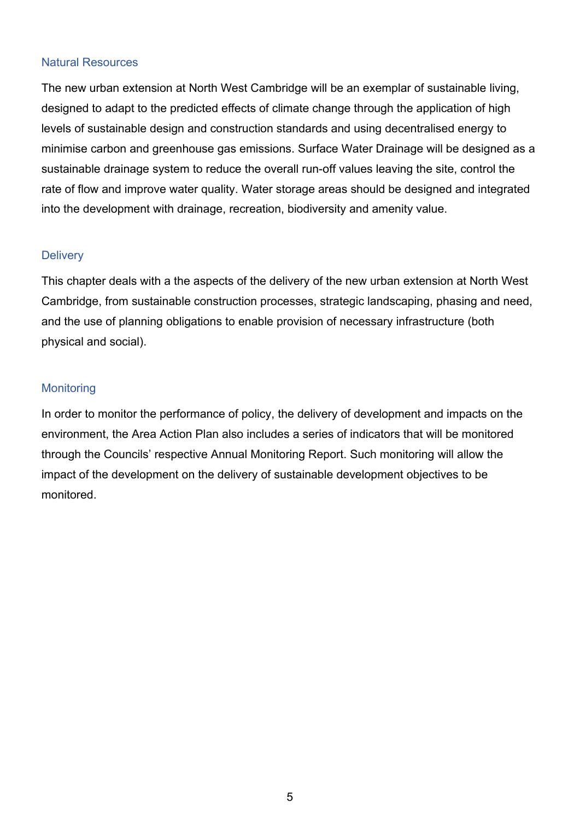#### Natural Resources

The new urban extension at North West Cambridge will be an exemplar of sustainable living, designed to adapt to the predicted effects of climate change through the application of high levels of sustainable design and construction standards and using decentralised energy to minimise carbon and greenhouse gas emissions. Surface Water Drainage will be designed as a sustainable drainage system to reduce the overall run-off values leaving the site, control the rate of flow and improve water quality. Water storage areas should be designed and integrated into the development with drainage, recreation, biodiversity and amenity value.

#### **Delivery**

This chapter deals with a the aspects of the delivery of the new urban extension at North West Cambridge, from sustainable construction processes, strategic landscaping, phasing and need, and the use of planning obligations to enable provision of necessary infrastructure (both physical and social).

#### **Monitoring**

In order to monitor the performance of policy, the delivery of development and impacts on the environment, the Area Action Plan also includes a series of indicators that will be monitored through the Councils' respective Annual Monitoring Report. Such monitoring will allow the impact of the development on the delivery of sustainable development objectives to be monitored.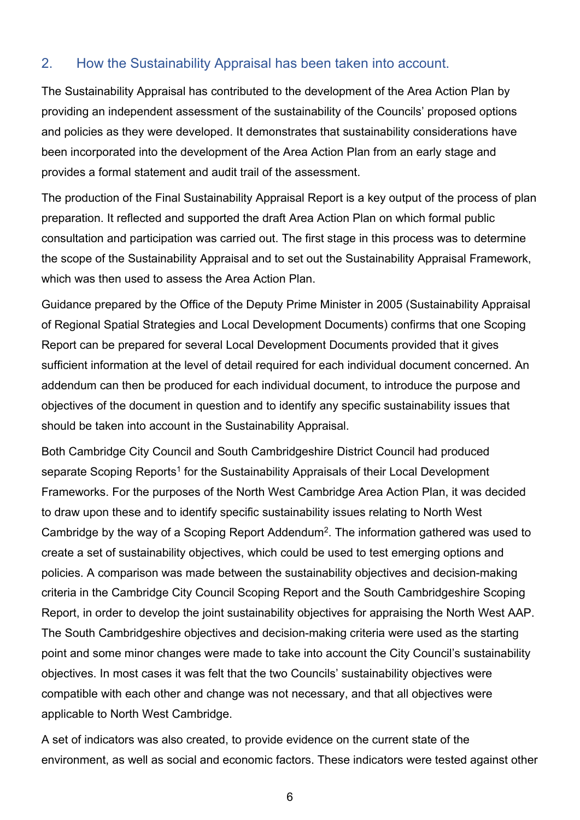## 2. How the Sustainability Appraisal has been taken into account.

The Sustainability Appraisal has contributed to the development of the Area Action Plan by providing an independent assessment of the sustainability of the Councils' proposed options and policies as they were developed. It demonstrates that sustainability considerations have been incorporated into the development of the Area Action Plan from an early stage and provides a formal statement and audit trail of the assessment.

The production of the Final Sustainability Appraisal Report is a key output of the process of plan preparation. It reflected and supported the draft Area Action Plan on which formal public consultation and participation was carried out. The first stage in this process was to determine the scope of the Sustainability Appraisal and to set out the Sustainability Appraisal Framework, which was then used to assess the Area Action Plan.

Guidance prepared by the Office of the Deputy Prime Minister in 2005 (Sustainability Appraisal of Regional Spatial Strategies and Local Development Documents) confirms that one Scoping Report can be prepared for several Local Development Documents provided that it gives sufficient information at the level of detail required for each individual document concerned. An addendum can then be produced for each individual document, to introduce the purpose and objectives of the document in question and to identify any specific sustainability issues that should be taken into account in the Sustainability Appraisal.

Both Cambridge City Council and South Cambridgeshire District Council had produced separate Scoping Reports<sup>1</sup> for the Sustainability Appraisals of their Local Development Frameworks. For the purposes of the North West Cambridge Area Action Plan, it was decided to draw upon these and to identify specific sustainability issues relating to North West Cambridge by the way of a Scoping Report Addendum2. The information gathered was used to create a set of sustainability objectives, which could be used to test emerging options and policies. A comparison was made between the sustainability objectives and decision-making criteria in the Cambridge City Council Scoping Report and the South Cambridgeshire Scoping Report, in order to develop the joint sustainability objectives for appraising the North West AAP. The South Cambridgeshire objectives and decision-making criteria were used as the starting point and some minor changes were made to take into account the City Council's sustainability objectives. In most cases it was felt that the two Councils' sustainability objectives were compatible with each other and change was not necessary, and that all objectives were applicable to North West Cambridge.

A set of indicators was also created, to provide evidence on the current state of the environment, as well as social and economic factors. These indicators were tested against other

6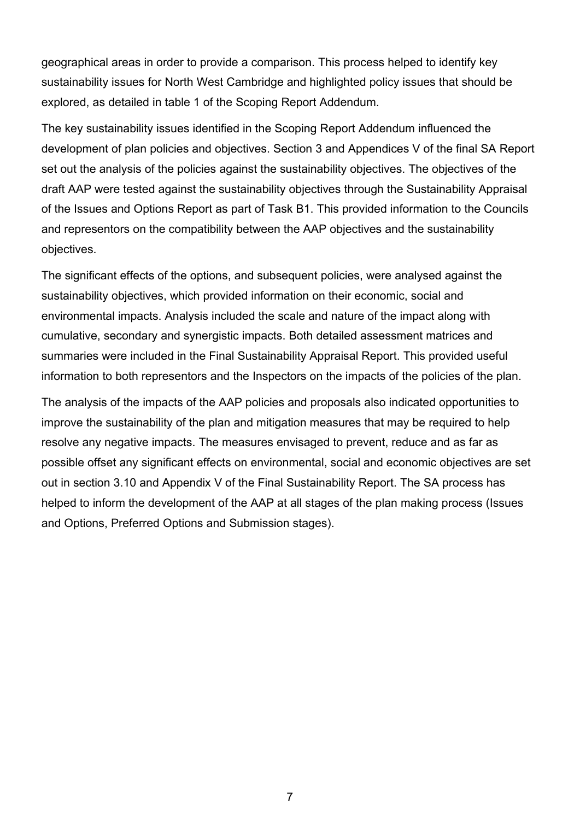geographical areas in order to provide a comparison. This process helped to identify key sustainability issues for North West Cambridge and highlighted policy issues that should be explored, as detailed in table 1 of the Scoping Report Addendum.

The key sustainability issues identified in the Scoping Report Addendum influenced the development of plan policies and objectives. Section 3 and Appendices V of the final SA Report set out the analysis of the policies against the sustainability objectives. The objectives of the draft AAP were tested against the sustainability objectives through the Sustainability Appraisal of the Issues and Options Report as part of Task B1. This provided information to the Councils and representors on the compatibility between the AAP objectives and the sustainability objectives.

The significant effects of the options, and subsequent policies, were analysed against the sustainability objectives, which provided information on their economic, social and environmental impacts. Analysis included the scale and nature of the impact along with cumulative, secondary and synergistic impacts. Both detailed assessment matrices and summaries were included in the Final Sustainability Appraisal Report. This provided useful information to both representors and the Inspectors on the impacts of the policies of the plan.

The analysis of the impacts of the AAP policies and proposals also indicated opportunities to improve the sustainability of the plan and mitigation measures that may be required to help resolve any negative impacts. The measures envisaged to prevent, reduce and as far as possible offset any significant effects on environmental, social and economic objectives are set out in section 3.10 and Appendix V of the Final Sustainability Report. The SA process has helped to inform the development of the AAP at all stages of the plan making process (Issues and Options, Preferred Options and Submission stages).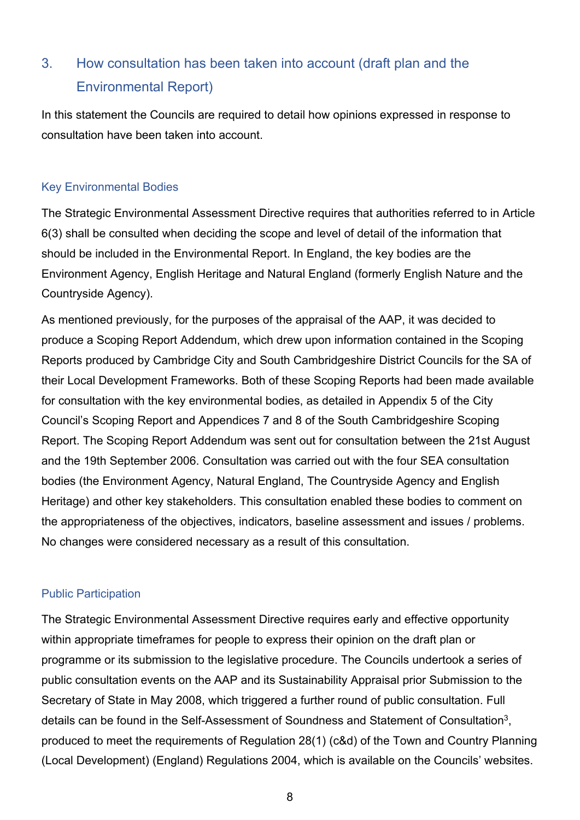## 3. How consultation has been taken into account (draft plan and the Environmental Report)

In this statement the Councils are required to detail how opinions expressed in response to consultation have been taken into account.

## Key Environmental Bodies

The Strategic Environmental Assessment Directive requires that authorities referred to in Article 6(3) shall be consulted when deciding the scope and level of detail of the information that should be included in the Environmental Report. In England, the key bodies are the Environment Agency, English Heritage and Natural England (formerly English Nature and the Countryside Agency).

As mentioned previously, for the purposes of the appraisal of the AAP, it was decided to produce a Scoping Report Addendum, which drew upon information contained in the Scoping Reports produced by Cambridge City and South Cambridgeshire District Councils for the SA of their Local Development Frameworks. Both of these Scoping Reports had been made available for consultation with the key environmental bodies, as detailed in Appendix 5 of the City Council's Scoping Report and Appendices 7 and 8 of the South Cambridgeshire Scoping Report. The Scoping Report Addendum was sent out for consultation between the 21st August and the 19th September 2006. Consultation was carried out with the four SEA consultation bodies (the Environment Agency, Natural England, The Countryside Agency and English Heritage) and other key stakeholders. This consultation enabled these bodies to comment on the appropriateness of the objectives, indicators, baseline assessment and issues / problems. No changes were considered necessary as a result of this consultation.

## Public Participation

The Strategic Environmental Assessment Directive requires early and effective opportunity within appropriate timeframes for people to express their opinion on the draft plan or programme or its submission to the legislative procedure. The Councils undertook a series of public consultation events on the AAP and its Sustainability Appraisal prior Submission to the Secretary of State in May 2008, which triggered a further round of public consultation. Full details can be found in the Self-Assessment of Soundness and Statement of Consultation3, produced to meet the requirements of Regulation 28(1) (c&d) of the Town and Country Planning (Local Development) (England) Regulations 2004, which is available on the Councils' websites.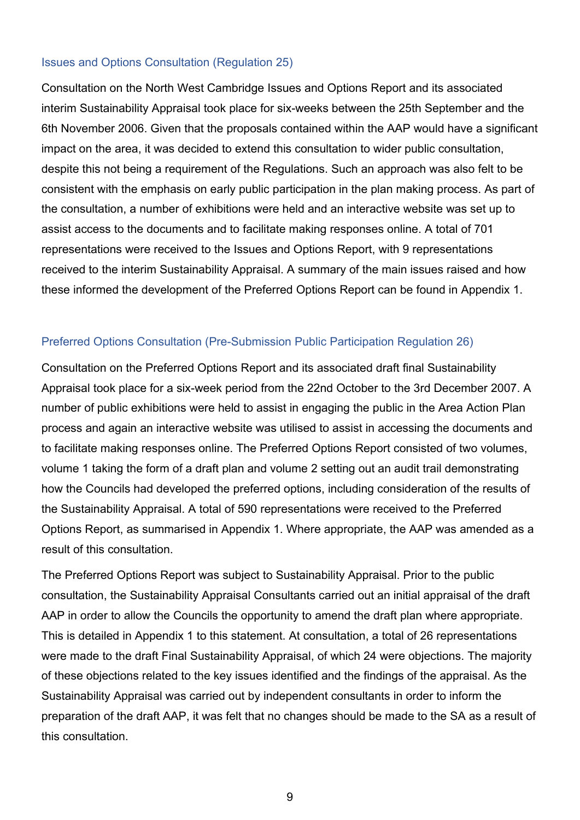#### Issues and Options Consultation (Regulation 25)

Consultation on the North West Cambridge Issues and Options Report and its associated interim Sustainability Appraisal took place for six-weeks between the 25th September and the 6th November 2006. Given that the proposals contained within the AAP would have a significant impact on the area, it was decided to extend this consultation to wider public consultation, despite this not being a requirement of the Regulations. Such an approach was also felt to be consistent with the emphasis on early public participation in the plan making process. As part of the consultation, a number of exhibitions were held and an interactive website was set up to assist access to the documents and to facilitate making responses online. A total of 701 representations were received to the Issues and Options Report, with 9 representations received to the interim Sustainability Appraisal. A summary of the main issues raised and how these informed the development of the Preferred Options Report can be found in Appendix 1.

#### Preferred Options Consultation (Pre-Submission Public Participation Regulation 26)

Consultation on the Preferred Options Report and its associated draft final Sustainability Appraisal took place for a six-week period from the 22nd October to the 3rd December 2007. A number of public exhibitions were held to assist in engaging the public in the Area Action Plan process and again an interactive website was utilised to assist in accessing the documents and to facilitate making responses online. The Preferred Options Report consisted of two volumes, volume 1 taking the form of a draft plan and volume 2 setting out an audit trail demonstrating how the Councils had developed the preferred options, including consideration of the results of the Sustainability Appraisal. A total of 590 representations were received to the Preferred Options Report, as summarised in Appendix 1. Where appropriate, the AAP was amended as a result of this consultation.

The Preferred Options Report was subject to Sustainability Appraisal. Prior to the public consultation, the Sustainability Appraisal Consultants carried out an initial appraisal of the draft AAP in order to allow the Councils the opportunity to amend the draft plan where appropriate. This is detailed in Appendix 1 to this statement. At consultation, a total of 26 representations were made to the draft Final Sustainability Appraisal, of which 24 were objections. The majority of these objections related to the key issues identified and the findings of the appraisal. As the Sustainability Appraisal was carried out by independent consultants in order to inform the preparation of the draft AAP, it was felt that no changes should be made to the SA as a result of this consultation.

9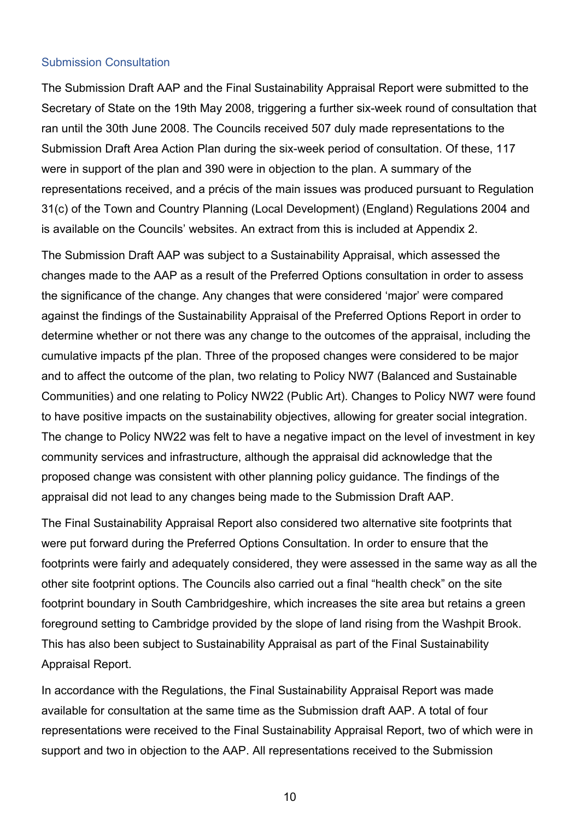#### Submission Consultation

The Submission Draft AAP and the Final Sustainability Appraisal Report were submitted to the Secretary of State on the 19th May 2008, triggering a further six-week round of consultation that ran until the 30th June 2008. The Councils received 507 duly made representations to the Submission Draft Area Action Plan during the six-week period of consultation. Of these, 117 were in support of the plan and 390 were in objection to the plan. A summary of the representations received, and a précis of the main issues was produced pursuant to Regulation 31(c) of the Town and Country Planning (Local Development) (England) Regulations 2004 and is available on the Councils' websites. An extract from this is included at Appendix 2.

The Submission Draft AAP was subject to a Sustainability Appraisal, which assessed the changes made to the AAP as a result of the Preferred Options consultation in order to assess the significance of the change. Any changes that were considered 'major' were compared against the findings of the Sustainability Appraisal of the Preferred Options Report in order to determine whether or not there was any change to the outcomes of the appraisal, including the cumulative impacts pf the plan. Three of the proposed changes were considered to be major and to affect the outcome of the plan, two relating to Policy NW7 (Balanced and Sustainable Communities) and one relating to Policy NW22 (Public Art). Changes to Policy NW7 were found to have positive impacts on the sustainability objectives, allowing for greater social integration. The change to Policy NW22 was felt to have a negative impact on the level of investment in key community services and infrastructure, although the appraisal did acknowledge that the proposed change was consistent with other planning policy guidance. The findings of the appraisal did not lead to any changes being made to the Submission Draft AAP.

The Final Sustainability Appraisal Report also considered two alternative site footprints that were put forward during the Preferred Options Consultation. In order to ensure that the footprints were fairly and adequately considered, they were assessed in the same way as all the other site footprint options. The Councils also carried out a final "health check" on the site footprint boundary in South Cambridgeshire, which increases the site area but retains a green foreground setting to Cambridge provided by the slope of land rising from the Washpit Brook. This has also been subject to Sustainability Appraisal as part of the Final Sustainability Appraisal Report.

In accordance with the Regulations, the Final Sustainability Appraisal Report was made available for consultation at the same time as the Submission draft AAP. A total of four representations were received to the Final Sustainability Appraisal Report, two of which were in support and two in objection to the AAP. All representations received to the Submission

10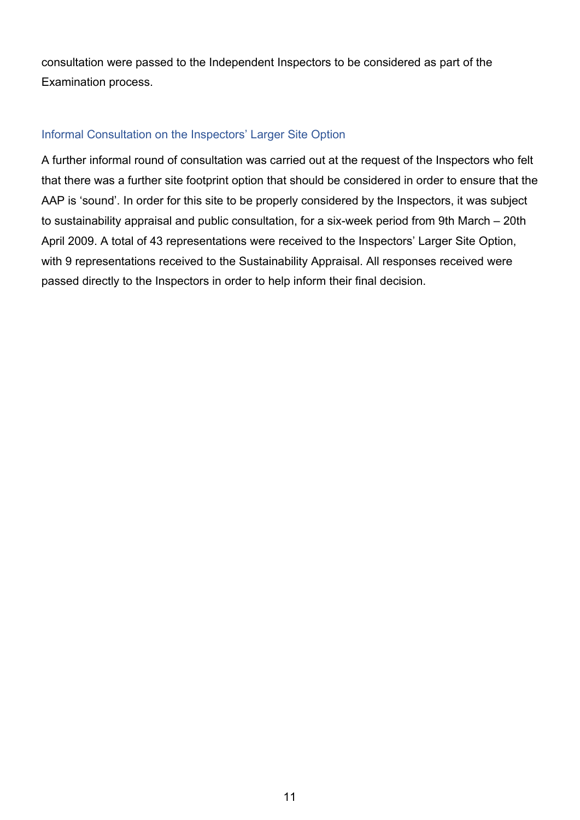consultation were passed to the Independent Inspectors to be considered as part of the Examination process.

#### Informal Consultation on the Inspectors' Larger Site Option

A further informal round of consultation was carried out at the request of the Inspectors who felt that there was a further site footprint option that should be considered in order to ensure that the AAP is 'sound'. In order for this site to be properly considered by the Inspectors, it was subject to sustainability appraisal and public consultation, for a six-week period from 9th March – 20th April 2009. A total of 43 representations were received to the Inspectors' Larger Site Option, with 9 representations received to the Sustainability Appraisal. All responses received were passed directly to the Inspectors in order to help inform their final decision.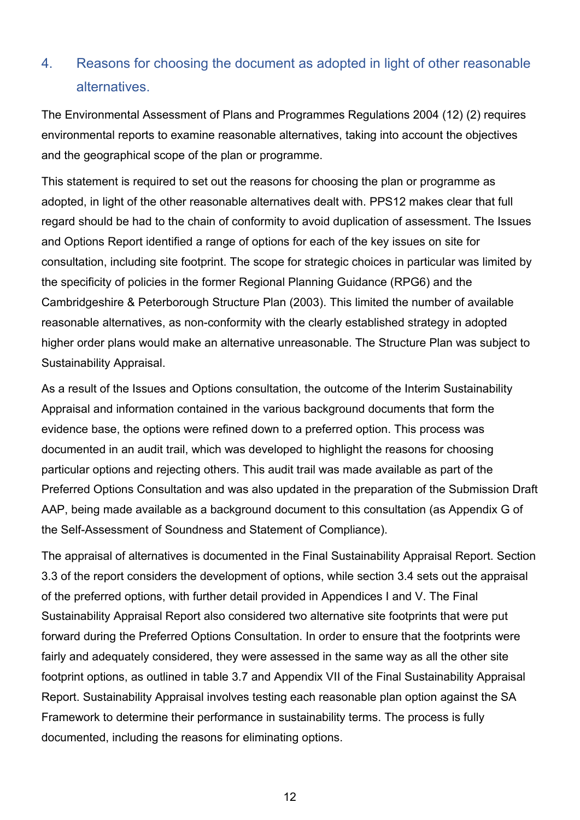## 4. Reasons for choosing the document as adopted in light of other reasonable alternatives.

The Environmental Assessment of Plans and Programmes Regulations 2004 (12) (2) requires environmental reports to examine reasonable alternatives, taking into account the objectives and the geographical scope of the plan or programme.

This statement is required to set out the reasons for choosing the plan or programme as adopted, in light of the other reasonable alternatives dealt with. PPS12 makes clear that full regard should be had to the chain of conformity to avoid duplication of assessment. The Issues and Options Report identified a range of options for each of the key issues on site for consultation, including site footprint. The scope for strategic choices in particular was limited by the specificity of policies in the former Regional Planning Guidance (RPG6) and the Cambridgeshire & Peterborough Structure Plan (2003). This limited the number of available reasonable alternatives, as non-conformity with the clearly established strategy in adopted higher order plans would make an alternative unreasonable. The Structure Plan was subject to Sustainability Appraisal.

As a result of the Issues and Options consultation, the outcome of the Interim Sustainability Appraisal and information contained in the various background documents that form the evidence base, the options were refined down to a preferred option. This process was documented in an audit trail, which was developed to highlight the reasons for choosing particular options and rejecting others. This audit trail was made available as part of the Preferred Options Consultation and was also updated in the preparation of the Submission Draft AAP, being made available as a background document to this consultation (as Appendix G of the Self-Assessment of Soundness and Statement of Compliance).

The appraisal of alternatives is documented in the Final Sustainability Appraisal Report. Section 3.3 of the report considers the development of options, while section 3.4 sets out the appraisal of the preferred options, with further detail provided in Appendices I and V. The Final Sustainability Appraisal Report also considered two alternative site footprints that were put forward during the Preferred Options Consultation. In order to ensure that the footprints were fairly and adequately considered, they were assessed in the same way as all the other site footprint options, as outlined in table 3.7 and Appendix VII of the Final Sustainability Appraisal Report. Sustainability Appraisal involves testing each reasonable plan option against the SA Framework to determine their performance in sustainability terms. The process is fully documented, including the reasons for eliminating options.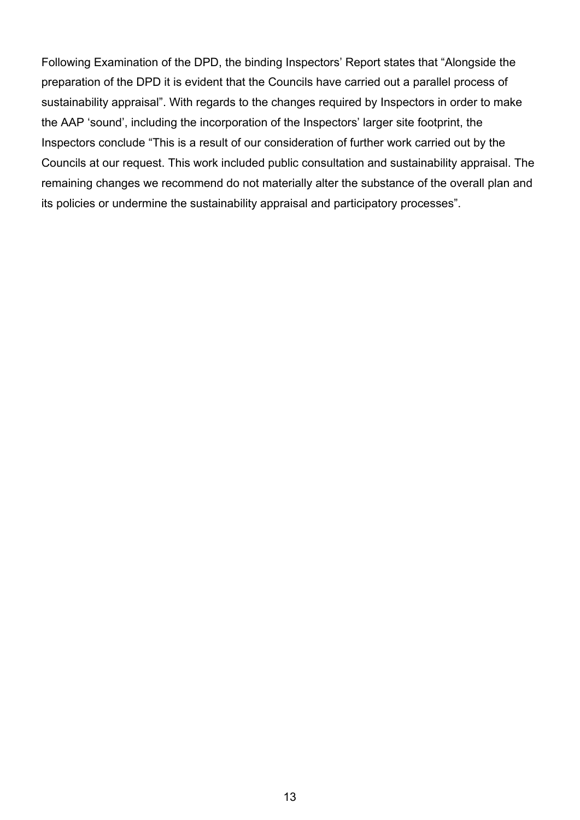Following Examination of the DPD, the binding Inspectors' Report states that "Alongside the preparation of the DPD it is evident that the Councils have carried out a parallel process of sustainability appraisal". With regards to the changes required by Inspectors in order to make the AAP 'sound', including the incorporation of the Inspectors' larger site footprint, the Inspectors conclude "This is a result of our consideration of further work carried out by the Councils at our request. This work included public consultation and sustainability appraisal. The remaining changes we recommend do not materially alter the substance of the overall plan and its policies or undermine the sustainability appraisal and participatory processes".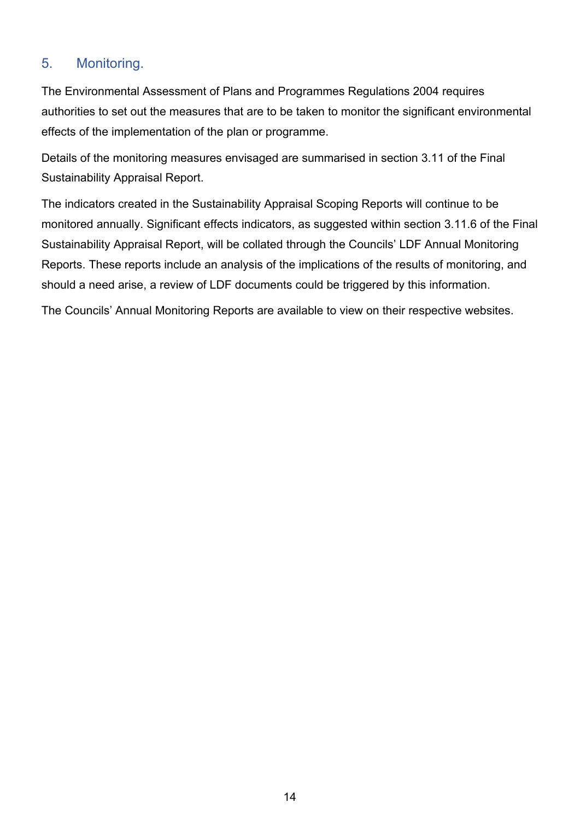## 5. Monitoring.

The Environmental Assessment of Plans and Programmes Regulations 2004 requires authorities to set out the measures that are to be taken to monitor the significant environmental effects of the implementation of the plan or programme.

Details of the monitoring measures envisaged are summarised in section 3.11 of the Final Sustainability Appraisal Report.

The indicators created in the Sustainability Appraisal Scoping Reports will continue to be monitored annually. Significant effects indicators, as suggested within section 3.11.6 of the Final Sustainability Appraisal Report, will be collated through the Councils' LDF Annual Monitoring Reports. These reports include an analysis of the implications of the results of monitoring, and should a need arise, a review of LDF documents could be triggered by this information.

The Councils' Annual Monitoring Reports are available to view on their respective websites.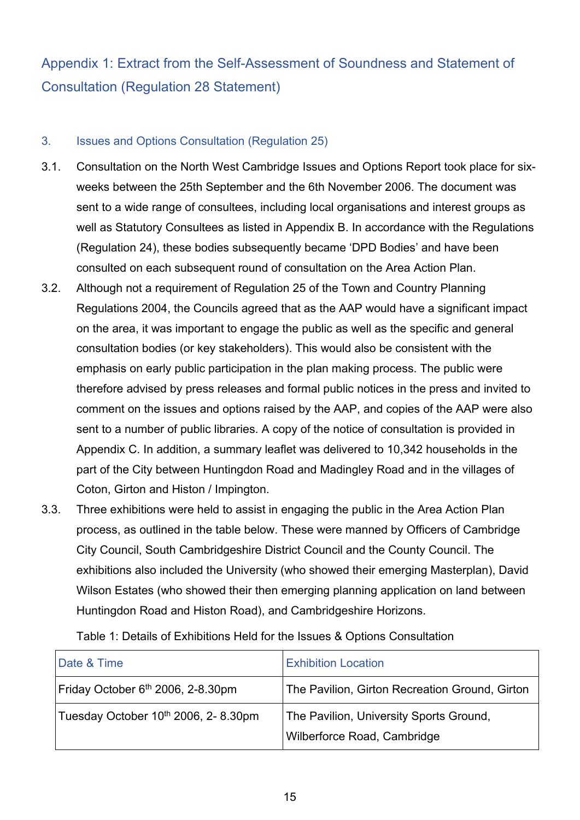## Appendix 1: Extract from the Self-Assessment of Soundness and Statement of Consultation (Regulation 28 Statement)

#### 3. Issues and Options Consultation (Regulation 25)

- 3.1. Consultation on the North West Cambridge Issues and Options Report took place for sixweeks between the 25th September and the 6th November 2006. The document was sent to a wide range of consultees, including local organisations and interest groups as well as Statutory Consultees as listed in Appendix B. In accordance with the Regulations (Regulation 24), these bodies subsequently became 'DPD Bodies' and have been consulted on each subsequent round of consultation on the Area Action Plan.
- 3.2. Although not a requirement of Regulation 25 of the Town and Country Planning Regulations 2004, the Councils agreed that as the AAP would have a significant impact on the area, it was important to engage the public as well as the specific and general consultation bodies (or key stakeholders). This would also be consistent with the emphasis on early public participation in the plan making process. The public were therefore advised by press releases and formal public notices in the press and invited to comment on the issues and options raised by the AAP, and copies of the AAP were also sent to a number of public libraries. A copy of the notice of consultation is provided in Appendix C. In addition, a summary leaflet was delivered to 10,342 households in the part of the City between Huntingdon Road and Madingley Road and in the villages of Coton, Girton and Histon / Impington.
- 3.3. Three exhibitions were held to assist in engaging the public in the Area Action Plan process, as outlined in the table below. These were manned by Officers of Cambridge City Council, South Cambridgeshire District Council and the County Council. The exhibitions also included the University (who showed their emerging Masterplan), David Wilson Estates (who showed their then emerging planning application on land between Huntingdon Road and Histon Road), and Cambridgeshire Horizons.

| Date & Time                                   | <b>Exhibition Location</b>                                             |
|-----------------------------------------------|------------------------------------------------------------------------|
| Friday October 6 <sup>th</sup> 2006, 2-8.30pm | The Pavilion, Girton Recreation Ground, Girton                         |
| Tuesday October 10th 2006, 2-8.30pm           | The Pavilion, University Sports Ground,<br>Wilberforce Road, Cambridge |

Table 1: Details of Exhibitions Held for the Issues & Options Consultation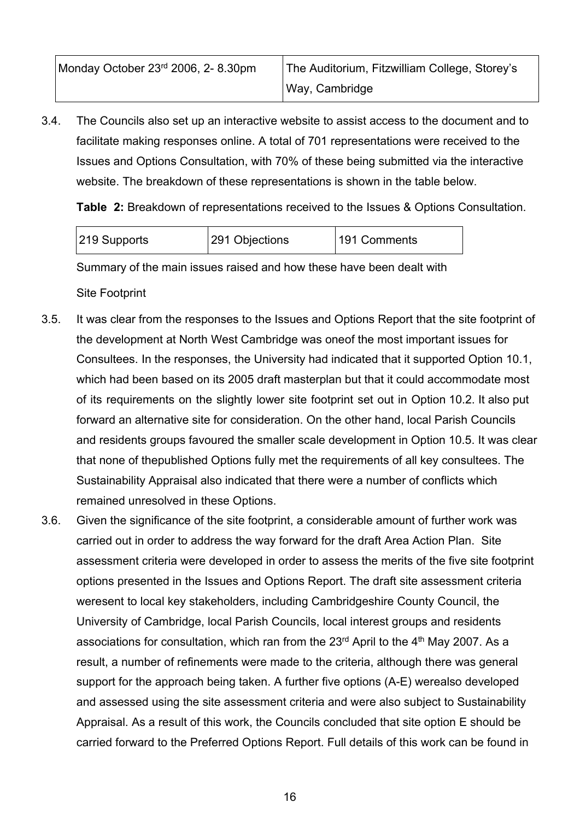| Monday October 23rd 2006, 2-8.30pm | The Auditorium, Fitzwilliam College, Storey's |
|------------------------------------|-----------------------------------------------|
|                                    | Way, Cambridge                                |

3.4. The Councils also set up an interactive website to assist access to the document and to facilitate making responses online. A total of 701 representations were received to the Issues and Options Consultation, with 70% of these being submitted via the interactive website. The breakdown of these representations is shown in the table below.

**Table 2:** Breakdown of representations received to the Issues & Options Consultation.

| 291 Objections<br>219 Supports<br>191 Comments |
|------------------------------------------------|
|------------------------------------------------|

Summary of the main issues raised and how these have been dealt with

Site Footprint

- 3.5. It was clear from the responses to the Issues and Options Report that the site footprint of the development at North West Cambridge was oneof the most important issues for Consultees. In the responses, the University had indicated that it supported Option 10.1, which had been based on its 2005 draft masterplan but that it could accommodate most of its requirements on the slightly lower site footprint set out in Option 10.2. It also put forward an alternative site for consideration. On the other hand, local Parish Councils and residents groups favoured the smaller scale development in Option 10.5. It was clear that none of thepublished Options fully met the requirements of all key consultees. The Sustainability Appraisal also indicated that there were a number of conflicts which remained unresolved in these Options.
- 3.6. Given the significance of the site footprint, a considerable amount of further work was carried out in order to address the way forward for the draft Area Action Plan. Site assessment criteria were developed in order to assess the merits of the five site footprint options presented in the Issues and Options Report. The draft site assessment criteria weresent to local key stakeholders, including Cambridgeshire County Council, the University of Cambridge, local Parish Councils, local interest groups and residents associations for consultation, which ran from the  $23<sup>rd</sup>$  April to the  $4<sup>th</sup>$  May 2007. As a result, a number of refinements were made to the criteria, although there was general support for the approach being taken. A further five options (A-E) werealso developed and assessed using the site assessment criteria and were also subject to Sustainability Appraisal. As a result of this work, the Councils concluded that site option E should be carried forward to the Preferred Options Report. Full details of this work can be found in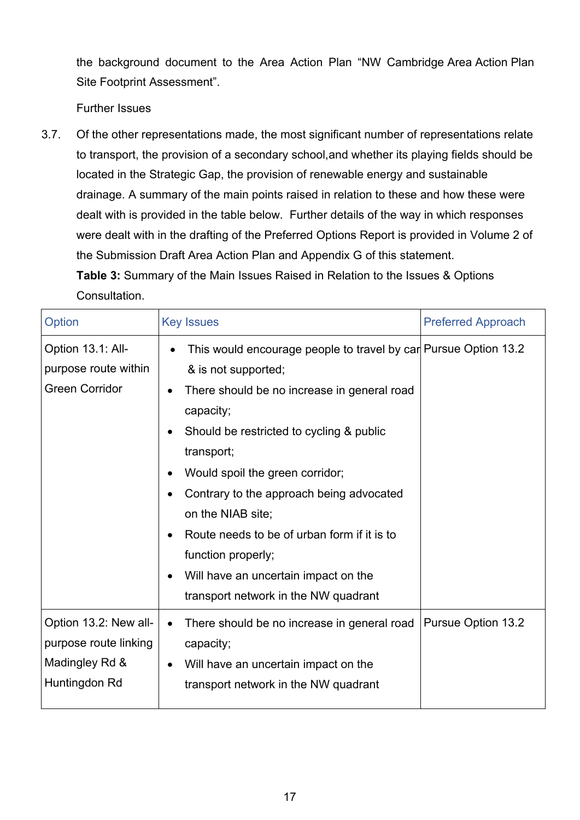the background document to the Area Action Plan "NW Cambridge Area Action Plan Site Footprint Assessment".

Further Issues

3.7. Of the other representations made, the most significant number of representations relate to transport, the provision of a secondary school,and whether its playing fields should be located in the Strategic Gap, the provision of renewable energy and sustainable drainage. A summary of the main points raised in relation to these and how these were dealt with is provided in the table below. Further details of the way in which responses were dealt with in the drafting of the Preferred Options Report is provided in Volume 2 of the Submission Draft Area Action Plan and Appendix G of this statement. **Table 3:** Summary of the Main Issues Raised in Relation to the Issues & Options

Consultation.

| Option                                                                            | <b>Key Issues</b>                                                                                                                                                                                                                                                                                                                                                                                                                                                     | <b>Preferred Approach</b> |
|-----------------------------------------------------------------------------------|-----------------------------------------------------------------------------------------------------------------------------------------------------------------------------------------------------------------------------------------------------------------------------------------------------------------------------------------------------------------------------------------------------------------------------------------------------------------------|---------------------------|
| Option 13.1: All-<br>purpose route within<br><b>Green Corridor</b>                | This would encourage people to travel by car Pursue Option 13.2<br>& is not supported;<br>There should be no increase in general road<br>capacity;<br>Should be restricted to cycling & public<br>transport;<br>Would spoil the green corridor;<br>Contrary to the approach being advocated<br>on the NIAB site;<br>Route needs to be of urban form if it is to<br>function properly;<br>Will have an uncertain impact on the<br>transport network in the NW quadrant |                           |
| Option 13.2: New all-<br>purpose route linking<br>Madingley Rd &<br>Huntingdon Rd | There should be no increase in general road<br>$\bullet$<br>capacity;<br>Will have an uncertain impact on the<br>transport network in the NW quadrant                                                                                                                                                                                                                                                                                                                 | <b>Pursue Option 13.2</b> |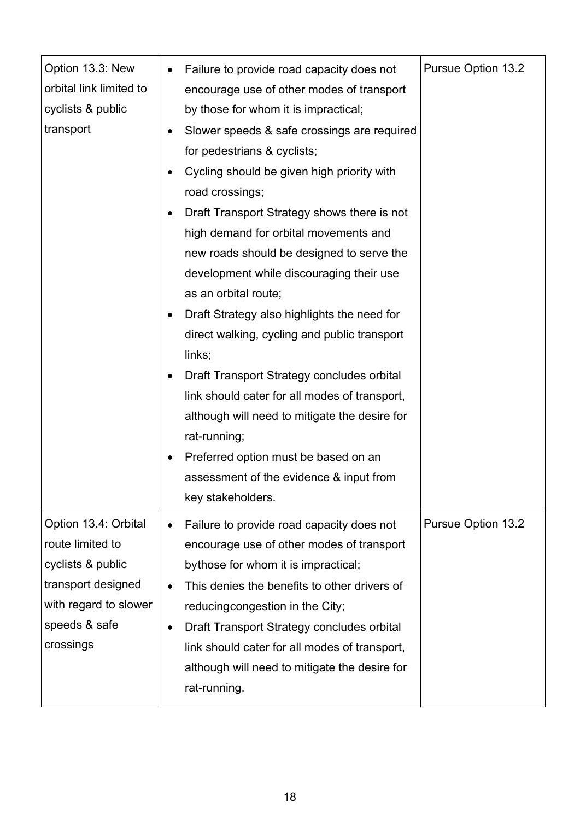| Option 13.3: New<br>orbital link limited to<br>cyclists & public<br>transport                                                              | Failure to provide road capacity does not<br>$\bullet$<br>encourage use of other modes of transport<br>by those for whom it is impractical;<br>Slower speeds & safe crossings are required<br>for pedestrians & cyclists;<br>Cycling should be given high priority with<br>road crossings;<br>Draft Transport Strategy shows there is not<br>high demand for orbital movements and<br>new roads should be designed to serve the<br>development while discouraging their use<br>as an orbital route;<br>Draft Strategy also highlights the need for<br>direct walking, cycling and public transport<br>links;<br>Draft Transport Strategy concludes orbital<br>link should cater for all modes of transport,<br>although will need to mitigate the desire for<br>rat-running;<br>Preferred option must be based on an<br>assessment of the evidence & input from<br>key stakeholders. | Pursue Option 13.2        |
|--------------------------------------------------------------------------------------------------------------------------------------------|--------------------------------------------------------------------------------------------------------------------------------------------------------------------------------------------------------------------------------------------------------------------------------------------------------------------------------------------------------------------------------------------------------------------------------------------------------------------------------------------------------------------------------------------------------------------------------------------------------------------------------------------------------------------------------------------------------------------------------------------------------------------------------------------------------------------------------------------------------------------------------------|---------------------------|
| Option 13.4: Orbital<br>route limited to<br>cyclists & public<br>transport designed<br>with regard to slower<br>speeds & safe<br>crossings | Failure to provide road capacity does not<br>$\bullet$<br>encourage use of other modes of transport<br>bythose for whom it is impractical;<br>This denies the benefits to other drivers of<br>reducing congestion in the City;<br>Draft Transport Strategy concludes orbital<br>$\bullet$<br>link should cater for all modes of transport,<br>although will need to mitigate the desire for<br>rat-running.                                                                                                                                                                                                                                                                                                                                                                                                                                                                          | <b>Pursue Option 13.2</b> |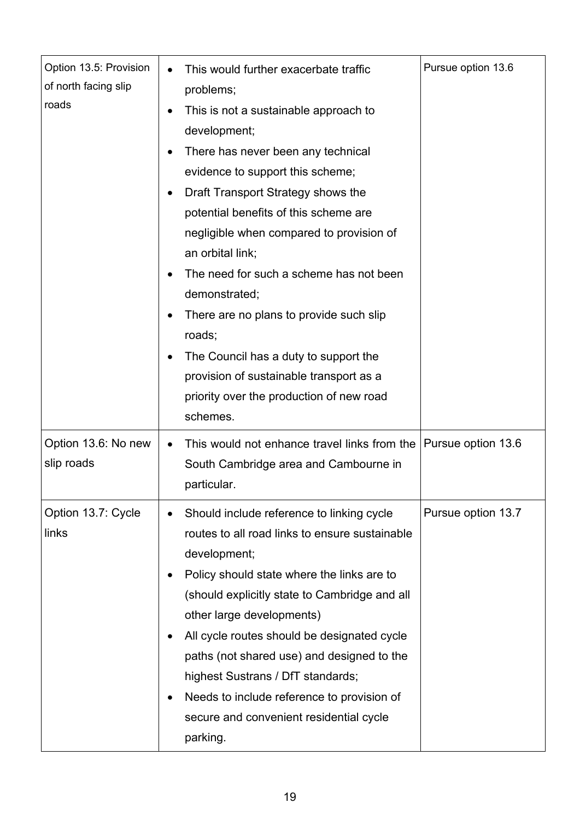| Option 13.5: Provision<br>of north facing slip<br>roads | This would further exacerbate traffic<br>problems;<br>This is not a sustainable approach to<br>development;<br>There has never been any technical<br>evidence to support this scheme;<br>Draft Transport Strategy shows the<br>potential benefits of this scheme are<br>negligible when compared to provision of<br>an orbital link;<br>The need for such a scheme has not been<br>demonstrated;<br>There are no plans to provide such slip<br>roads;<br>The Council has a duty to support the<br>provision of sustainable transport as a<br>priority over the production of new road | Pursue option 13.6 |
|---------------------------------------------------------|---------------------------------------------------------------------------------------------------------------------------------------------------------------------------------------------------------------------------------------------------------------------------------------------------------------------------------------------------------------------------------------------------------------------------------------------------------------------------------------------------------------------------------------------------------------------------------------|--------------------|
| Option 13.6: No new<br>slip roads                       | schemes.<br>This would not enhance travel links from the<br>South Cambridge area and Cambourne in<br>particular.                                                                                                                                                                                                                                                                                                                                                                                                                                                                      | Pursue option 13.6 |
| Option 13.7: Cycle<br>links                             | Should include reference to linking cycle<br>routes to all road links to ensure sustainable<br>development;<br>Policy should state where the links are to<br>(should explicitly state to Cambridge and all<br>other large developments)<br>All cycle routes should be designated cycle<br>paths (not shared use) and designed to the<br>highest Sustrans / DfT standards;<br>Needs to include reference to provision of<br>secure and convenient residential cycle<br>parking.                                                                                                        | Pursue option 13.7 |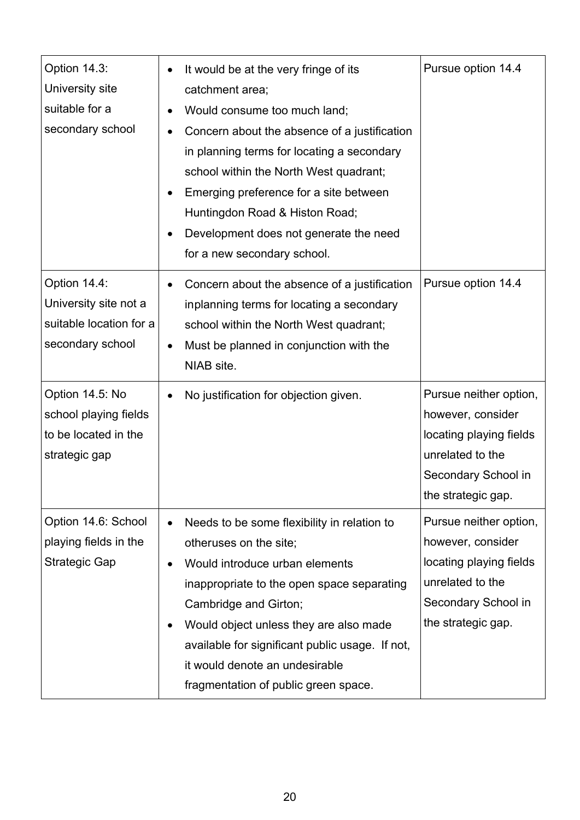| Option 14.3:<br>University site<br>suitable for a<br>secondary school                | It would be at the very fringe of its<br>$\bullet$<br>catchment area;<br>Would consume too much land;<br>Concern about the absence of a justification<br>in planning terms for locating a secondary<br>school within the North West quadrant;<br>Emerging preference for a site between<br>Huntingdon Road & Histon Road;<br>Development does not generate the need<br>for a new secondary school. | Pursue option 14.4                                                                                                                      |
|--------------------------------------------------------------------------------------|----------------------------------------------------------------------------------------------------------------------------------------------------------------------------------------------------------------------------------------------------------------------------------------------------------------------------------------------------------------------------------------------------|-----------------------------------------------------------------------------------------------------------------------------------------|
| Option 14.4:<br>University site not a<br>suitable location for a<br>secondary school | Concern about the absence of a justification<br>inplanning terms for locating a secondary<br>school within the North West quadrant;<br>Must be planned in conjunction with the<br>$\bullet$<br>NIAB site.                                                                                                                                                                                          | Pursue option 14.4                                                                                                                      |
| Option 14.5: No<br>school playing fields<br>to be located in the<br>strategic gap    | No justification for objection given.<br>$\bullet$                                                                                                                                                                                                                                                                                                                                                 | Pursue neither option,<br>however, consider<br>locating playing fields<br>unrelated to the<br>Secondary School in<br>the strategic gap. |
| Option 14.6: School<br>playing fields in the<br><b>Strategic Gap</b>                 | Needs to be some flexibility in relation to<br>$\bullet$<br>otheruses on the site;<br>Would introduce urban elements<br>inappropriate to the open space separating<br>Cambridge and Girton;<br>Would object unless they are also made<br>available for significant public usage. If not,<br>it would denote an undesirable<br>fragmentation of public green space.                                 | Pursue neither option,<br>however, consider<br>locating playing fields<br>unrelated to the<br>Secondary School in<br>the strategic gap. |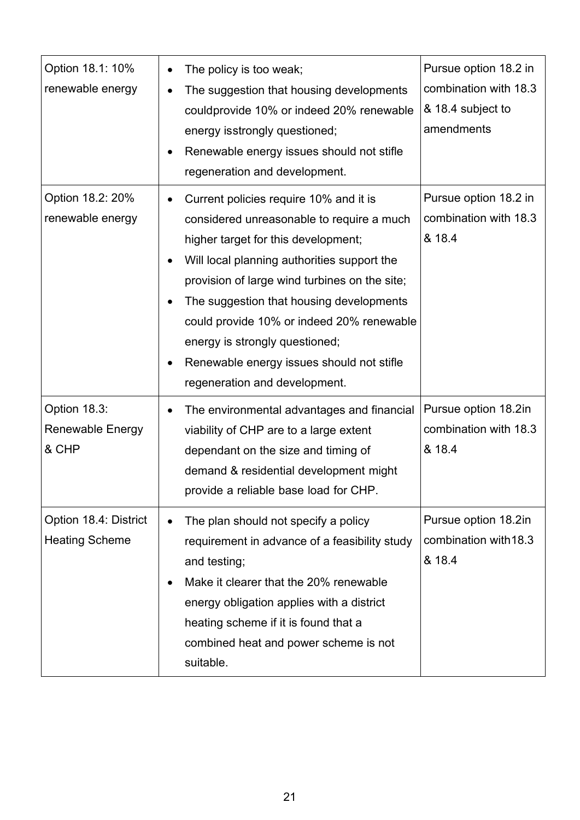| Option 18.1: 10%<br>renewable energy           | The policy is too weak;<br>$\bullet$<br>The suggestion that housing developments<br>$\bullet$<br>couldprovide 10% or indeed 20% renewable<br>energy isstrongly questioned;<br>Renewable energy issues should not stifle<br>regeneration and development.                                                                                                                                                                            | Pursue option 18.2 in<br>combination with 18.3<br>& 18.4 subject to<br>amendments |
|------------------------------------------------|-------------------------------------------------------------------------------------------------------------------------------------------------------------------------------------------------------------------------------------------------------------------------------------------------------------------------------------------------------------------------------------------------------------------------------------|-----------------------------------------------------------------------------------|
| Option 18.2: 20%<br>renewable energy           | Current policies require 10% and it is<br>considered unreasonable to require a much<br>higher target for this development;<br>Will local planning authorities support the<br>provision of large wind turbines on the site;<br>The suggestion that housing developments<br>could provide 10% or indeed 20% renewable<br>energy is strongly questioned;<br>Renewable energy issues should not stifle<br>regeneration and development. | Pursue option 18.2 in<br>combination with 18.3<br>& 18.4                          |
| Option 18.3:<br>Renewable Energy<br>& CHP      | The environmental advantages and financial<br>viability of CHP are to a large extent<br>dependant on the size and timing of<br>demand & residential development might<br>provide a reliable base load for CHP.                                                                                                                                                                                                                      | Pursue option 18.2in<br>combination with 18.3<br>& 18.4                           |
| Option 18.4: District<br><b>Heating Scheme</b> | The plan should not specify a policy<br>requirement in advance of a feasibility study<br>and testing;<br>Make it clearer that the 20% renewable<br>$\bullet$<br>energy obligation applies with a district<br>heating scheme if it is found that a<br>combined heat and power scheme is not<br>suitable.                                                                                                                             | Pursue option 18.2in<br>combination with 18.3<br>& 18.4                           |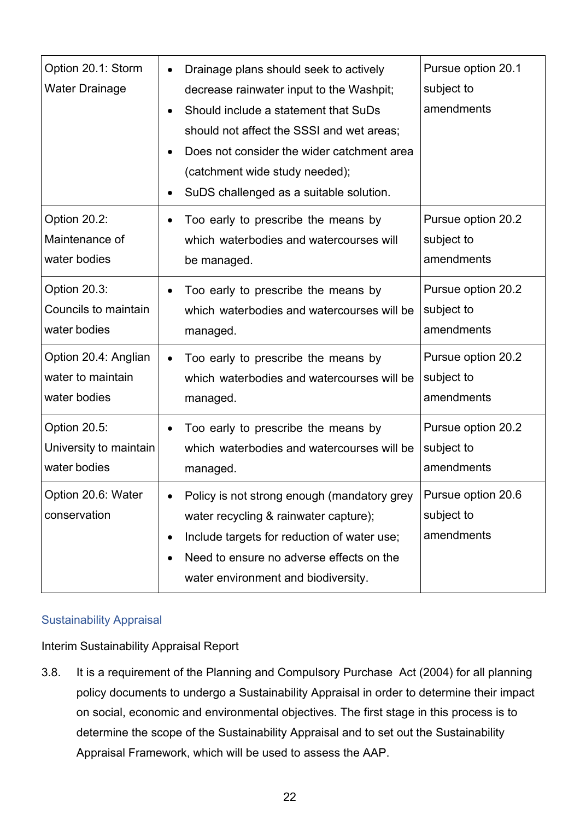| Option 20.1: Storm<br><b>Water Drainage</b>               | Drainage plans should seek to actively<br>$\bullet$<br>decrease rainwater input to the Washpit;<br>Should include a statement that SuDs<br>should not affect the SSSI and wet areas;<br>Does not consider the wider catchment area<br>(catchment wide study needed);<br>SuDS challenged as a suitable solution. | Pursue option 20.1<br>subject to<br>amendments |
|-----------------------------------------------------------|-----------------------------------------------------------------------------------------------------------------------------------------------------------------------------------------------------------------------------------------------------------------------------------------------------------------|------------------------------------------------|
| Option 20.2:<br>Maintenance of<br>water bodies            | Too early to prescribe the means by<br>$\bullet$<br>which waterbodies and watercourses will<br>be managed.                                                                                                                                                                                                      | Pursue option 20.2<br>subject to<br>amendments |
| Option 20.3:<br>Councils to maintain<br>water bodies      | Too early to prescribe the means by<br>$\bullet$<br>which waterbodies and watercourses will be<br>managed.                                                                                                                                                                                                      | Pursue option 20.2<br>subject to<br>amendments |
| Option 20.4: Anglian<br>water to maintain<br>water bodies | Too early to prescribe the means by<br>which waterbodies and watercourses will be<br>managed.                                                                                                                                                                                                                   | Pursue option 20.2<br>subject to<br>amendments |
| Option 20.5:<br>University to maintain<br>water bodies    | Too early to prescribe the means by<br>which waterbodies and watercourses will be<br>managed.                                                                                                                                                                                                                   | Pursue option 20.2<br>subject to<br>amendments |
| Option 20.6: Water<br>conservation                        | Policy is not strong enough (mandatory grey<br>water recycling & rainwater capture);<br>Include targets for reduction of water use;<br>٠<br>Need to ensure no adverse effects on the<br>$\bullet$<br>water environment and biodiversity.                                                                        | Pursue option 20.6<br>subject to<br>amendments |

## Sustainability Appraisal

Interim Sustainability Appraisal Report

3.8. It is a requirement of the Planning and Compulsory Purchase Act (2004) for all planning policy documents to undergo a Sustainability Appraisal in order to determine their impact on social, economic and environmental objectives. The first stage in this process is to determine the scope of the Sustainability Appraisal and to set out the Sustainability Appraisal Framework, which will be used to assess the AAP.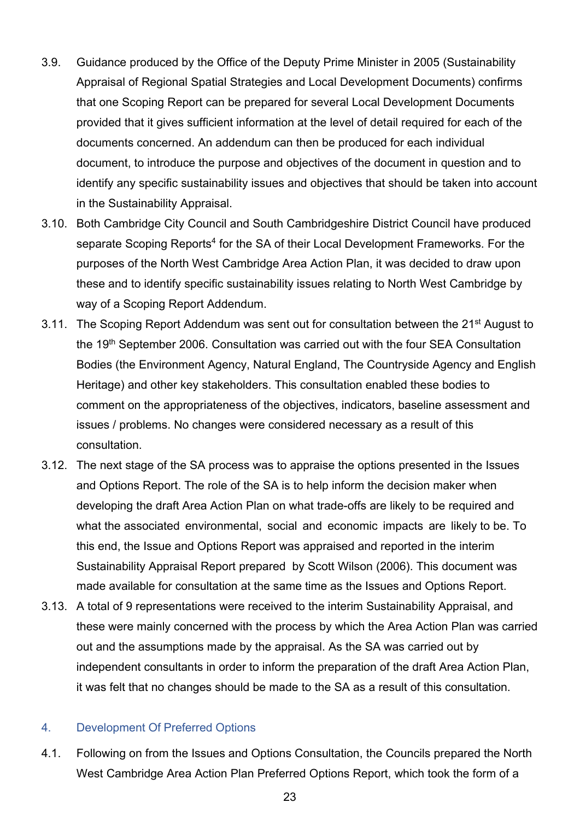- 3.9. Guidance produced by the Office of the Deputy Prime Minister in 2005 (Sustainability Appraisal of Regional Spatial Strategies and Local Development Documents) confirms that one Scoping Report can be prepared for several Local Development Documents provided that it gives sufficient information at the level of detail required for each of the documents concerned. An addendum can then be produced for each individual document, to introduce the purpose and objectives of the document in question and to identify any specific sustainability issues and objectives that should be taken into account in the Sustainability Appraisal.
- 3.10. Both Cambridge City Council and South Cambridgeshire District Council have produced separate Scoping Reports<sup>4</sup> for the SA of their Local Development Frameworks. For the purposes of the North West Cambridge Area Action Plan, it was decided to draw upon these and to identify specific sustainability issues relating to North West Cambridge by way of a Scoping Report Addendum.
- 3.11. The Scoping Report Addendum was sent out for consultation between the 21<sup>st</sup> August to the 19<sup>th</sup> September 2006. Consultation was carried out with the four SEA Consultation Bodies (the Environment Agency, Natural England, The Countryside Agency and English Heritage) and other key stakeholders. This consultation enabled these bodies to comment on the appropriateness of the objectives, indicators, baseline assessment and issues / problems. No changes were considered necessary as a result of this consultation.
- 3.12. The next stage of the SA process was to appraise the options presented in the Issues and Options Report. The role of the SA is to help inform the decision maker when developing the draft Area Action Plan on what trade-offs are likely to be required and what the associated environmental, social and economic impacts are likely to be. To this end, the Issue and Options Report was appraised and reported in the interim Sustainability Appraisal Report prepared by Scott Wilson (2006). This document was made available for consultation at the same time as the Issues and Options Report.
- 3.13. A total of 9 representations were received to the interim Sustainability Appraisal, and these were mainly concerned with the process by which the Area Action Plan was carried out and the assumptions made by the appraisal. As the SA was carried out by independent consultants in order to inform the preparation of the draft Area Action Plan, it was felt that no changes should be made to the SA as a result of this consultation.

#### 4. Development Of Preferred Options

4.1. Following on from the Issues and Options Consultation, the Councils prepared the North West Cambridge Area Action Plan Preferred Options Report, which took the form of a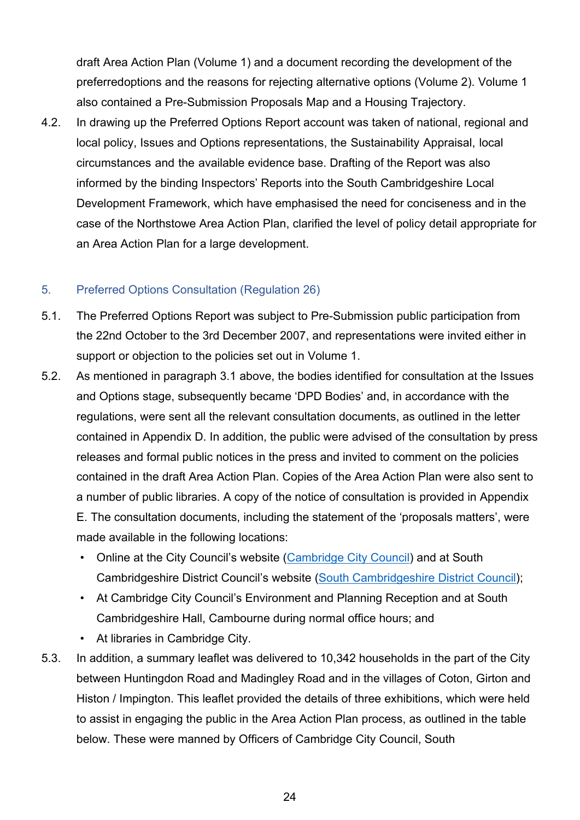draft Area Action Plan (Volume 1) and a document recording the development of the preferredoptions and the reasons for rejecting alternative options (Volume 2). Volume 1 also contained a Pre-Submission Proposals Map and a Housing Trajectory.

4.2. In drawing up the Preferred Options Report account was taken of national, regional and local policy, Issues and Options representations, the Sustainability Appraisal, local circumstances and the available evidence base. Drafting of the Report was also informed by the binding Inspectors' Reports into the South Cambridgeshire Local Development Framework, which have emphasised the need for conciseness and in the case of the Northstowe Area Action Plan, clarified the level of policy detail appropriate for an Area Action Plan for a large development.

#### 5. Preferred Options Consultation (Regulation 26)

- 5.1. The Preferred Options Report was subject to Pre-Submission public participation from the 22nd October to the 3rd December 2007, and representations were invited either in support or objection to the policies set out in Volume 1.
- 5.2. As mentioned in paragraph 3.1 above, the bodies identified for consultation at the Issues and Options stage, subsequently became 'DPD Bodies' and, in accordance with the regulations, were sent all the relevant consultation documents, as outlined in the letter contained in Appendix D. In addition, the public were advised of the consultation by press releases and formal public notices in the press and invited to comment on the policies contained in the draft Area Action Plan. Copies of the Area Action Plan were also sent to a number of public libraries. A copy of the notice of consultation is provided in Appendix E. The consultation documents, including the statement of the 'proposals matters', were made available in the following locations:
	- Online at the City Council's website [\(Cambridge City Council\)](https://www.cambridge.gov.uk/) and at South Cambridgeshire District Council's website [\(South Cambridgeshire](https://www.scambs.gov.uk/) District Council);
	- At Cambridge City Council's Environment and Planning Reception and at South Cambridgeshire Hall, Cambourne during normal office hours; and
	- At libraries in Cambridge City.
- 5.3. In addition, a summary leaflet was delivered to 10,342 households in the part of the City between Huntingdon Road and Madingley Road and in the villages of Coton, Girton and Histon / Impington. This leaflet provided the details of three exhibitions, which were held to assist in engaging the public in the Area Action Plan process, as outlined in the table below. These were manned by Officers of Cambridge City Council, South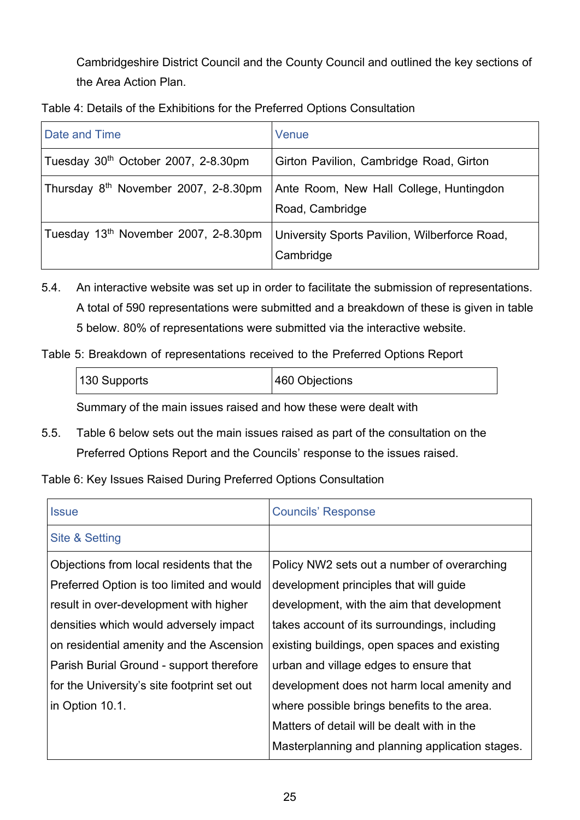Cambridgeshire District Council and the County Council and outlined the key sections of the Area Action Plan.

| Table 4: Details of the Exhibitions for the Preferred Options Consultation |  |  |
|----------------------------------------------------------------------------|--|--|
|                                                                            |  |  |

| Date and Time                                    | Venue                                                      |
|--------------------------------------------------|------------------------------------------------------------|
| Tuesday 30 <sup>th</sup> October 2007, 2-8.30pm  | Girton Pavilion, Cambridge Road, Girton                    |
| Thursday 8 <sup>th</sup> November 2007, 2-8.30pm | Ante Room, New Hall College, Huntingdon<br>Road, Cambridge |
| Tuesday 13 <sup>th</sup> November 2007, 2-8.30pm | University Sports Pavilion, Wilberforce Road,<br>Cambridge |

- 5.4. An interactive website was set up in order to facilitate the submission of representations. A total of 590 representations were submitted and a breakdown of these is given in table 5 below. 80% of representations were submitted via the interactive website.
- Table 5: Breakdown of representations received to the Preferred Options Report

| 130 Supports | 460 Objections |
|--------------|----------------|
|              |                |

Summary of the main issues raised and how these were dealt with

5.5. Table 6 below sets out the main issues raised as part of the consultation on the Preferred Options Report and the Councils' response to the issues raised.

## Table 6: Key Issues Raised During Preferred Options Consultation

| <b>Issue</b>                                | <b>Councils' Response</b>                       |
|---------------------------------------------|-------------------------------------------------|
| Site & Setting                              |                                                 |
| Objections from local residents that the    | Policy NW2 sets out a number of overarching     |
| Preferred Option is too limited and would   | development principles that will guide          |
| result in over-development with higher      | development, with the aim that development      |
| densities which would adversely impact      | takes account of its surroundings, including    |
| on residential amenity and the Ascension    | existing buildings, open spaces and existing    |
| Parish Burial Ground - support therefore    | urban and village edges to ensure that          |
| for the University's site footprint set out | development does not harm local amenity and     |
| in Option 10.1.                             | where possible brings benefits to the area.     |
|                                             | Matters of detail will be dealt with in the     |
|                                             | Masterplanning and planning application stages. |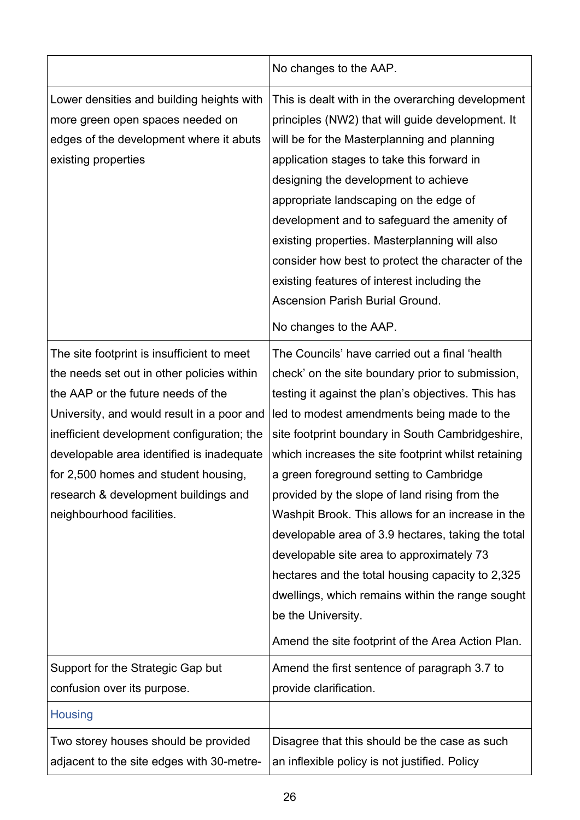|                                                                                                                                                                                                                                                                                                                                                                                      | No changes to the AAP.                                                                                                                                                                                                                                                                                                                                                                                                                                                                                                                                                                                                                                                                                                                                   |
|--------------------------------------------------------------------------------------------------------------------------------------------------------------------------------------------------------------------------------------------------------------------------------------------------------------------------------------------------------------------------------------|----------------------------------------------------------------------------------------------------------------------------------------------------------------------------------------------------------------------------------------------------------------------------------------------------------------------------------------------------------------------------------------------------------------------------------------------------------------------------------------------------------------------------------------------------------------------------------------------------------------------------------------------------------------------------------------------------------------------------------------------------------|
| Lower densities and building heights with<br>more green open spaces needed on<br>edges of the development where it abuts<br>existing properties                                                                                                                                                                                                                                      | This is dealt with in the overarching development<br>principles (NW2) that will guide development. It<br>will be for the Masterplanning and planning<br>application stages to take this forward in<br>designing the development to achieve<br>appropriate landscaping on the edge of<br>development and to safeguard the amenity of<br>existing properties. Masterplanning will also<br>consider how best to protect the character of the<br>existing features of interest including the<br><b>Ascension Parish Burial Ground.</b><br>No changes to the AAP.                                                                                                                                                                                             |
| The site footprint is insufficient to meet<br>the needs set out in other policies within<br>the AAP or the future needs of the<br>University, and would result in a poor and<br>inefficient development configuration; the<br>developable area identified is inadequate<br>for 2,500 homes and student housing,<br>research & development buildings and<br>neighbourhood facilities. | The Councils' have carried out a final 'health<br>check' on the site boundary prior to submission,<br>testing it against the plan's objectives. This has<br>led to modest amendments being made to the<br>site footprint boundary in South Cambridgeshire,<br>which increases the site footprint whilst retaining<br>a green foreground setting to Cambridge<br>provided by the slope of land rising from the<br>Washpit Brook. This allows for an increase in the<br>developable area of 3.9 hectares, taking the total<br>developable site area to approximately 73<br>hectares and the total housing capacity to 2,325<br>dwellings, which remains within the range sought<br>be the University.<br>Amend the site footprint of the Area Action Plan. |
| Support for the Strategic Gap but<br>confusion over its purpose.                                                                                                                                                                                                                                                                                                                     | Amend the first sentence of paragraph 3.7 to<br>provide clarification.                                                                                                                                                                                                                                                                                                                                                                                                                                                                                                                                                                                                                                                                                   |
| <b>Housing</b>                                                                                                                                                                                                                                                                                                                                                                       |                                                                                                                                                                                                                                                                                                                                                                                                                                                                                                                                                                                                                                                                                                                                                          |
| Two storey houses should be provided<br>adjacent to the site edges with 30-metre-                                                                                                                                                                                                                                                                                                    | Disagree that this should be the case as such<br>an inflexible policy is not justified. Policy                                                                                                                                                                                                                                                                                                                                                                                                                                                                                                                                                                                                                                                           |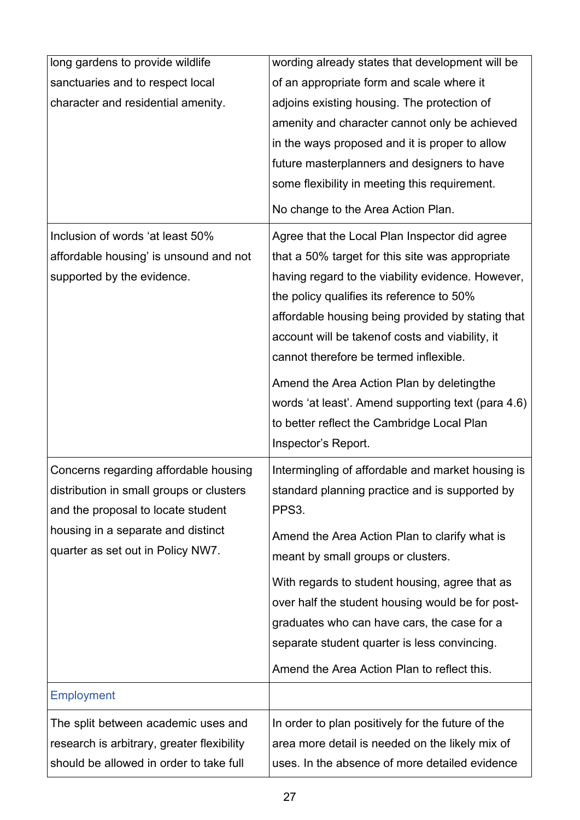| long gardens to provide wildlife           | wording already states that development will be    |
|--------------------------------------------|----------------------------------------------------|
| sanctuaries and to respect local           | of an appropriate form and scale where it          |
| character and residential amenity.         | adjoins existing housing. The protection of        |
|                                            | amenity and character cannot only be achieved      |
|                                            | in the ways proposed and it is proper to allow     |
|                                            | future masterplanners and designers to have        |
|                                            | some flexibility in meeting this requirement.      |
|                                            | No change to the Area Action Plan.                 |
| Inclusion of words 'at least 50%           | Agree that the Local Plan Inspector did agree      |
| affordable housing' is unsound and not     | that a 50% target for this site was appropriate    |
| supported by the evidence.                 | having regard to the viability evidence. However,  |
|                                            | the policy qualifies its reference to 50%          |
|                                            | affordable housing being provided by stating that  |
|                                            | account will be takenof costs and viability, it    |
|                                            | cannot therefore be termed inflexible.             |
|                                            | Amend the Area Action Plan by deletingthe          |
|                                            | words 'at least'. Amend supporting text (para 4.6) |
|                                            | to better reflect the Cambridge Local Plan         |
|                                            | Inspector's Report.                                |
| Concerns regarding affordable housing      | Intermingling of affordable and market housing is  |
| distribution in small groups or clusters   | standard planning practice and is supported by     |
| and the proposal to locate student         | PPS3.                                              |
| housing in a separate and distinct         | Amend the Area Action Plan to clarify what is      |
| quarter as set out in Policy NW7.          | meant by small groups or clusters.                 |
|                                            |                                                    |
|                                            | With regards to student housing, agree that as     |
|                                            | over half the student housing would be for post-   |
|                                            | graduates who can have cars, the case for a        |
|                                            | separate student quarter is less convincing.       |
|                                            | Amend the Area Action Plan to reflect this.        |
| <b>Employment</b>                          |                                                    |
| The split between academic uses and        | In order to plan positively for the future of the  |
| research is arbitrary, greater flexibility | area more detail is needed on the likely mix of    |
| should be allowed in order to take full    | uses. In the absence of more detailed evidence     |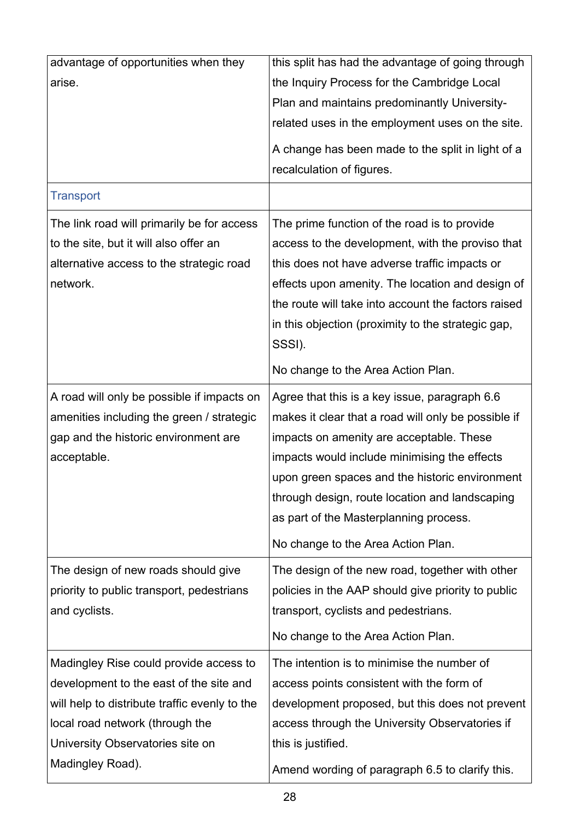| advantage of opportunities when they          | this split has had the advantage of going through   |
|-----------------------------------------------|-----------------------------------------------------|
| arise.                                        | the Inquiry Process for the Cambridge Local         |
|                                               | Plan and maintains predominantly University-        |
|                                               | related uses in the employment uses on the site.    |
|                                               | A change has been made to the split in light of a   |
|                                               | recalculation of figures.                           |
| <b>Transport</b>                              |                                                     |
| The link road will primarily be for access    | The prime function of the road is to provide        |
| to the site, but it will also offer an        | access to the development, with the proviso that    |
| alternative access to the strategic road      | this does not have adverse traffic impacts or       |
| network.                                      | effects upon amenity. The location and design of    |
|                                               | the route will take into account the factors raised |
|                                               | in this objection (proximity to the strategic gap,  |
|                                               | SSSI).                                              |
|                                               | No change to the Area Action Plan.                  |
| A road will only be possible if impacts on    | Agree that this is a key issue, paragraph 6.6       |
| amenities including the green / strategic     | makes it clear that a road will only be possible if |
| gap and the historic environment are          | impacts on amenity are acceptable. These            |
| acceptable.                                   | impacts would include minimising the effects        |
|                                               | upon green spaces and the historic environment      |
|                                               | through design, route location and landscaping      |
|                                               | as part of the Masterplanning process.              |
|                                               | No change to the Area Action Plan.                  |
| The design of new roads should give           | The design of the new road, together with other     |
| priority to public transport, pedestrians     | policies in the AAP should give priority to public  |
| and cyclists.                                 | transport, cyclists and pedestrians.                |
|                                               | No change to the Area Action Plan.                  |
| Madingley Rise could provide access to        | The intention is to minimise the number of          |
| development to the east of the site and       | access points consistent with the form of           |
| will help to distribute traffic evenly to the | development proposed, but this does not prevent     |
| local road network (through the               | access through the University Observatories if      |
| University Observatories site on              | this is justified.                                  |
| Madingley Road).                              | Amend wording of paragraph 6.5 to clarify this.     |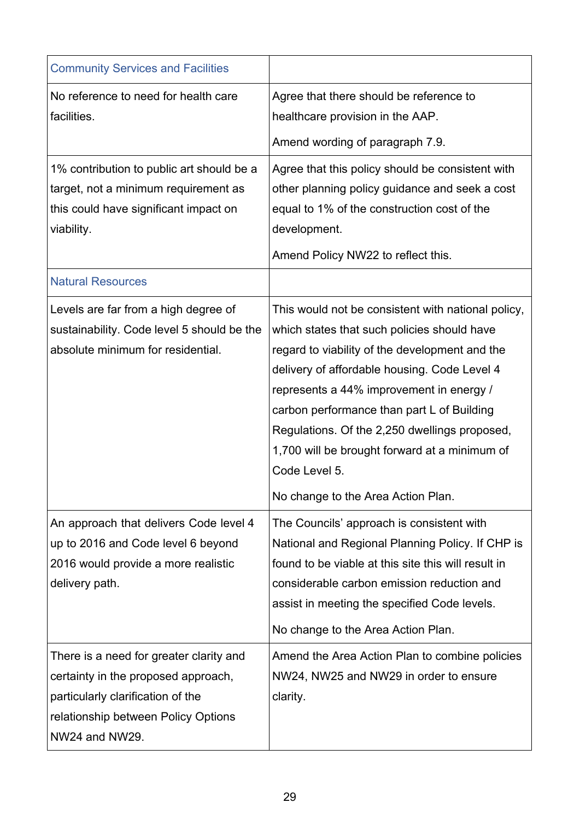| <b>Community Services and Facilities</b>                                                                                                                                     |                                                                                                                                                                                                                                                                                                                                |
|------------------------------------------------------------------------------------------------------------------------------------------------------------------------------|--------------------------------------------------------------------------------------------------------------------------------------------------------------------------------------------------------------------------------------------------------------------------------------------------------------------------------|
| No reference to need for health care<br>facilities.                                                                                                                          | Agree that there should be reference to<br>healthcare provision in the AAP.<br>Amend wording of paragraph 7.9.                                                                                                                                                                                                                 |
| 1% contribution to public art should be a<br>target, not a minimum requirement as<br>this could have significant impact on<br>viability.                                     | Agree that this policy should be consistent with<br>other planning policy guidance and seek a cost<br>equal to 1% of the construction cost of the<br>development.<br>Amend Policy NW22 to reflect this.                                                                                                                        |
| <b>Natural Resources</b><br>Levels are far from a high degree of<br>sustainability. Code level 5 should be the                                                               | This would not be consistent with national policy,<br>which states that such policies should have                                                                                                                                                                                                                              |
| absolute minimum for residential.                                                                                                                                            | regard to viability of the development and the<br>delivery of affordable housing. Code Level 4<br>represents a 44% improvement in energy /<br>carbon performance than part L of Building<br>Regulations. Of the 2,250 dwellings proposed,<br>1,700 will be brought forward at a minimum of<br>Code Level 5.                    |
| An approach that delivers Code level 4<br>up to 2016 and Code level 6 beyond<br>2016 would provide a more realistic<br>delivery path.                                        | No change to the Area Action Plan.<br>The Councils' approach is consistent with<br>National and Regional Planning Policy. If CHP is<br>found to be viable at this site this will result in<br>considerable carbon emission reduction and<br>assist in meeting the specified Code levels.<br>No change to the Area Action Plan. |
| There is a need for greater clarity and<br>certainty in the proposed approach,<br>particularly clarification of the<br>relationship between Policy Options<br>NW24 and NW29. | Amend the Area Action Plan to combine policies<br>NW24, NW25 and NW29 in order to ensure<br>clarity.                                                                                                                                                                                                                           |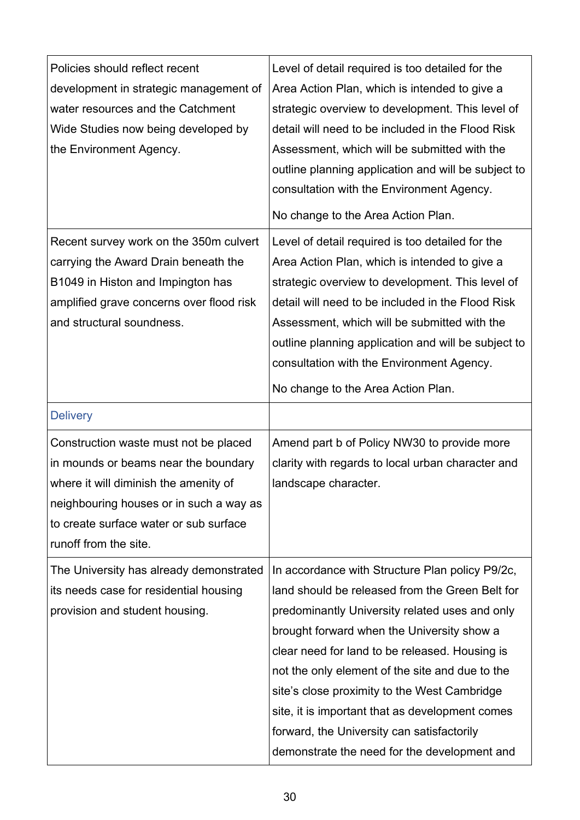| Policies should reflect recent<br>development in strategic management of<br>water resources and the Catchment<br>Wide Studies now being developed by<br>the Environment Agency.                                                      | Level of detail required is too detailed for the<br>Area Action Plan, which is intended to give a<br>strategic overview to development. This level of<br>detail will need to be included in the Flood Risk<br>Assessment, which will be submitted with the<br>outline planning application and will be subject to<br>consultation with the Environment Agency.<br>No change to the Area Action Plan.                                                                                                     |
|--------------------------------------------------------------------------------------------------------------------------------------------------------------------------------------------------------------------------------------|----------------------------------------------------------------------------------------------------------------------------------------------------------------------------------------------------------------------------------------------------------------------------------------------------------------------------------------------------------------------------------------------------------------------------------------------------------------------------------------------------------|
| Recent survey work on the 350m culvert<br>carrying the Award Drain beneath the<br>B1049 in Histon and Impington has<br>amplified grave concerns over flood risk<br>and structural soundness.                                         | Level of detail required is too detailed for the<br>Area Action Plan, which is intended to give a<br>strategic overview to development. This level of<br>detail will need to be included in the Flood Risk<br>Assessment, which will be submitted with the<br>outline planning application and will be subject to<br>consultation with the Environment Agency.<br>No change to the Area Action Plan.                                                                                                     |
| <b>Delivery</b>                                                                                                                                                                                                                      |                                                                                                                                                                                                                                                                                                                                                                                                                                                                                                          |
| Construction waste must not be placed<br>in mounds or beams near the boundary<br>where it will diminish the amenity of<br>neighbouring houses or in such a way as<br>to create surface water or sub surface<br>runoff from the site. | Amend part b of Policy NW30 to provide more<br>clarity with regards to local urban character and<br>landscape character.                                                                                                                                                                                                                                                                                                                                                                                 |
| The University has already demonstrated<br>its needs case for residential housing<br>provision and student housing.                                                                                                                  | In accordance with Structure Plan policy P9/2c,<br>land should be released from the Green Belt for<br>predominantly University related uses and only<br>brought forward when the University show a<br>clear need for land to be released. Housing is<br>not the only element of the site and due to the<br>site's close proximity to the West Cambridge<br>site, it is important that as development comes<br>forward, the University can satisfactorily<br>demonstrate the need for the development and |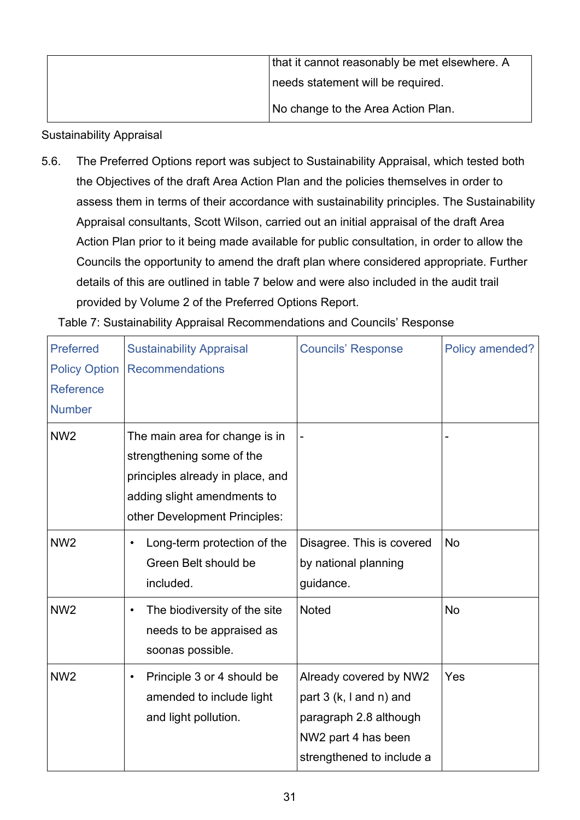| that it cannot reasonably be met elsewhere. A |
|-----------------------------------------------|
| needs statement will be required.             |
| No change to the Area Action Plan.            |

#### Sustainability Appraisal

5.6. The Preferred Options report was subject to Sustainability Appraisal, which tested both the Objectives of the draft Area Action Plan and the policies themselves in order to assess them in terms of their accordance with sustainability principles. The Sustainability Appraisal consultants, Scott Wilson, carried out an initial appraisal of the draft Area Action Plan prior to it being made available for public consultation, in order to allow the Councils the opportunity to amend the draft plan where considered appropriate. Further details of this are outlined in table 7 below and were also included in the audit trail provided by Volume 2 of the Preferred Options Report.

| <b>Preferred</b><br><b>Policy Option</b><br><b>Reference</b> | <b>Sustainability Appraisal</b><br><b>Recommendations</b>                                                                                                       | <b>Councils' Response</b>                                                                                                       | Policy amended? |
|--------------------------------------------------------------|-----------------------------------------------------------------------------------------------------------------------------------------------------------------|---------------------------------------------------------------------------------------------------------------------------------|-----------------|
| <b>Number</b>                                                |                                                                                                                                                                 |                                                                                                                                 |                 |
| NW <sub>2</sub>                                              | The main area for change is in<br>strengthening some of the<br>principles already in place, and<br>adding slight amendments to<br>other Development Principles: |                                                                                                                                 |                 |
| NW <sub>2</sub>                                              | Long-term protection of the<br>$\bullet$<br>Green Belt should be<br>included.                                                                                   | Disagree. This is covered<br>by national planning<br>guidance.                                                                  | <b>No</b>       |
| NW <sub>2</sub>                                              | The biodiversity of the site<br>$\bullet$<br>needs to be appraised as<br>soonas possible.                                                                       | <b>Noted</b>                                                                                                                    | <b>No</b>       |
| NW <sub>2</sub>                                              | Principle 3 or 4 should be<br>$\bullet$<br>amended to include light<br>and light pollution.                                                                     | Already covered by NW2<br>part 3 (k, I and n) and<br>paragraph 2.8 although<br>NW2 part 4 has been<br>strengthened to include a | Yes             |

Table 7: Sustainability Appraisal Recommendations and Councils' Response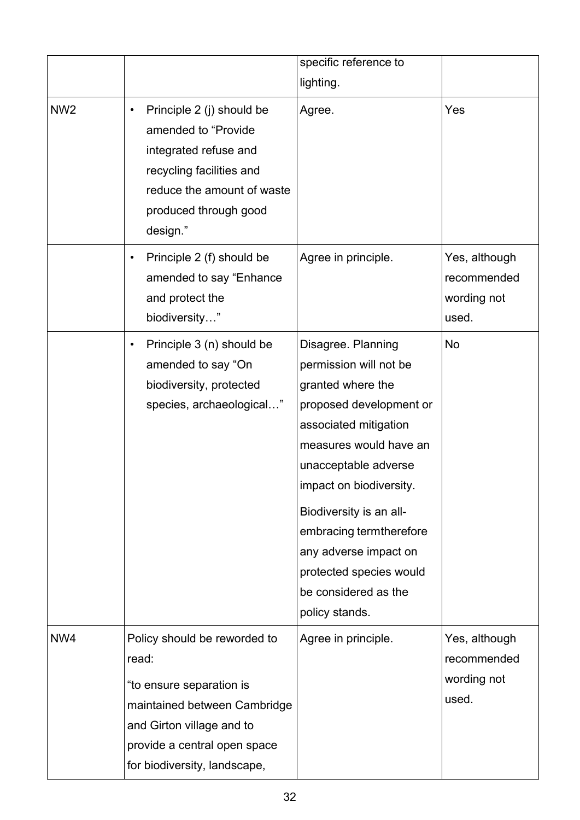|                 |                                                                                                                                                                                                | specific reference to<br>lighting.                                                                                                                                                                                                                                                                                                                     |                                                      |
|-----------------|------------------------------------------------------------------------------------------------------------------------------------------------------------------------------------------------|--------------------------------------------------------------------------------------------------------------------------------------------------------------------------------------------------------------------------------------------------------------------------------------------------------------------------------------------------------|------------------------------------------------------|
| NW <sub>2</sub> | Principle 2 (j) should be<br>$\bullet$<br>amended to "Provide"<br>integrated refuse and<br>recycling facilities and<br>reduce the amount of waste<br>produced through good<br>design."         | Agree.                                                                                                                                                                                                                                                                                                                                                 | Yes                                                  |
|                 | Principle 2 (f) should be<br>٠<br>amended to say "Enhance"<br>and protect the<br>biodiversity"                                                                                                 | Agree in principle.                                                                                                                                                                                                                                                                                                                                    | Yes, although<br>recommended<br>wording not<br>used. |
|                 | Principle 3 (n) should be<br>$\bullet$<br>amended to say "On<br>biodiversity, protected<br>species, archaeological"                                                                            | Disagree. Planning<br>permission will not be<br>granted where the<br>proposed development or<br>associated mitigation<br>measures would have an<br>unacceptable adverse<br>impact on biodiversity.<br>Biodiversity is an all-<br>embracing termtherefore<br>any adverse impact on<br>protected species would<br>be considered as the<br>policy stands. | No                                                   |
| NW4             | Policy should be reworded to<br>read:<br>"to ensure separation is<br>maintained between Cambridge<br>and Girton village and to<br>provide a central open space<br>for biodiversity, landscape, | Agree in principle.                                                                                                                                                                                                                                                                                                                                    | Yes, although<br>recommended<br>wording not<br>used. |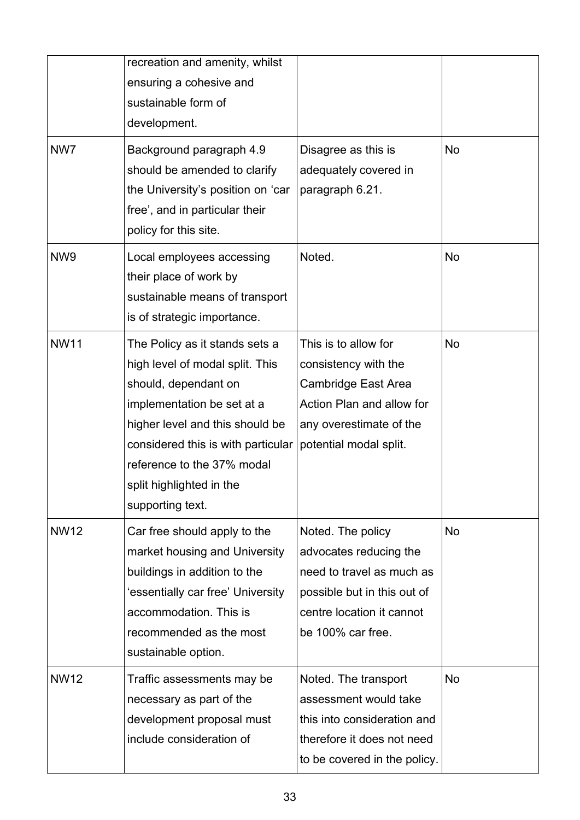|                 | recreation and amenity, whilst<br>ensuring a cohesive and<br>sustainable form of<br>development.                                                                                                                                                                               |                                                                                                                                                           |           |
|-----------------|--------------------------------------------------------------------------------------------------------------------------------------------------------------------------------------------------------------------------------------------------------------------------------|-----------------------------------------------------------------------------------------------------------------------------------------------------------|-----------|
| NW7             | Background paragraph 4.9<br>should be amended to clarify<br>the University's position on 'car<br>free', and in particular their<br>policy for this site.                                                                                                                       | Disagree as this is<br>adequately covered in<br>paragraph 6.21.                                                                                           | <b>No</b> |
| NW <sub>9</sub> | Local employees accessing<br>their place of work by<br>sustainable means of transport<br>is of strategic importance.                                                                                                                                                           | Noted.                                                                                                                                                    | No        |
| <b>NW11</b>     | The Policy as it stands sets a<br>high level of modal split. This<br>should, dependant on<br>implementation be set at a<br>higher level and this should be<br>considered this is with particular<br>reference to the 37% modal<br>split highlighted in the<br>supporting text. | This is to allow for<br>consistency with the<br>Cambridge East Area<br>Action Plan and allow for<br>any overestimate of the<br>potential modal split.     | <b>No</b> |
| <b>NW12</b>     | Car free should apply to the<br>market housing and University<br>buildings in addition to the<br>'essentially car free' University<br>accommodation. This is<br>recommended as the most<br>sustainable option.                                                                 | Noted. The policy<br>advocates reducing the<br>need to travel as much as<br>possible but in this out of<br>centre location it cannot<br>be 100% car free. | <b>No</b> |
| <b>NW12</b>     | Traffic assessments may be<br>necessary as part of the<br>development proposal must<br>include consideration of                                                                                                                                                                | Noted. The transport<br>assessment would take<br>this into consideration and<br>therefore it does not need<br>to be covered in the policy.                | No        |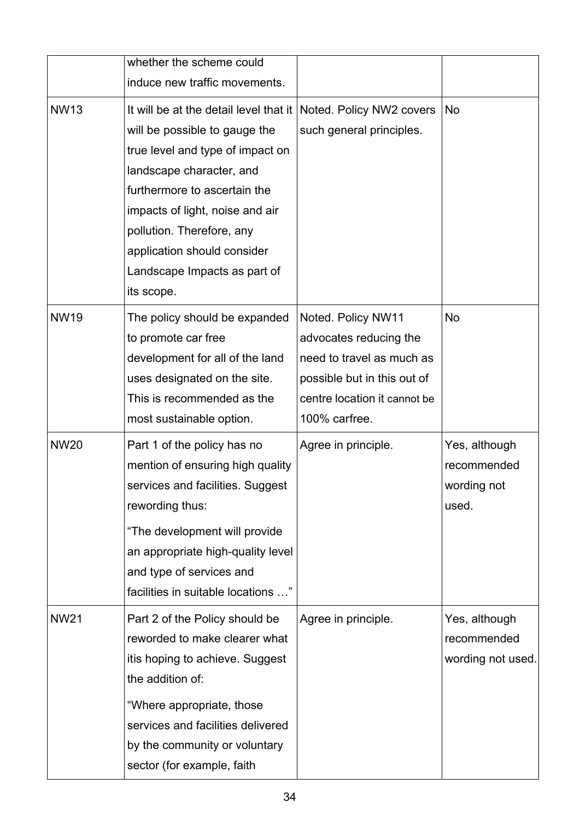|             | whether the scheme could                                                                                                                                                                                                                                                                                                                      |                                                                                                                                                           |                                                      |
|-------------|-----------------------------------------------------------------------------------------------------------------------------------------------------------------------------------------------------------------------------------------------------------------------------------------------------------------------------------------------|-----------------------------------------------------------------------------------------------------------------------------------------------------------|------------------------------------------------------|
|             | induce new traffic movements.                                                                                                                                                                                                                                                                                                                 |                                                                                                                                                           |                                                      |
| <b>NW13</b> | It will be at the detail level that it Noted. Policy NW2 covers<br>will be possible to gauge the<br>true level and type of impact on<br>landscape character, and<br>furthermore to ascertain the<br>impacts of light, noise and air<br>pollution. Therefore, any<br>application should consider<br>Landscape Impacts as part of<br>its scope. | such general principles.                                                                                                                                  | <b>No</b>                                            |
| <b>NW19</b> | The policy should be expanded<br>to promote car free<br>development for all of the land<br>uses designated on the site.<br>This is recommended as the<br>most sustainable option.                                                                                                                                                             | Noted. Policy NW11<br>advocates reducing the<br>need to travel as much as<br>possible but in this out of<br>centre location it cannot be<br>100% carfree. | <b>No</b>                                            |
| <b>NW20</b> | Part 1 of the policy has no<br>mention of ensuring high quality<br>services and facilities. Suggest<br>rewording thus:<br>"The development will provide<br>an appropriate high-quality level<br>and type of services and<br>facilities in suitable locations "                                                                                | Agree in principle.                                                                                                                                       | Yes, although<br>recommended<br>wording not<br>used. |
| <b>NW21</b> | Part 2 of the Policy should be<br>reworded to make clearer what<br>itis hoping to achieve. Suggest<br>the addition of:<br>"Where appropriate, those<br>services and facilities delivered<br>by the community or voluntary<br>sector (for example, faith                                                                                       | Agree in principle.                                                                                                                                       | Yes, although<br>recommended<br>wording not used.    |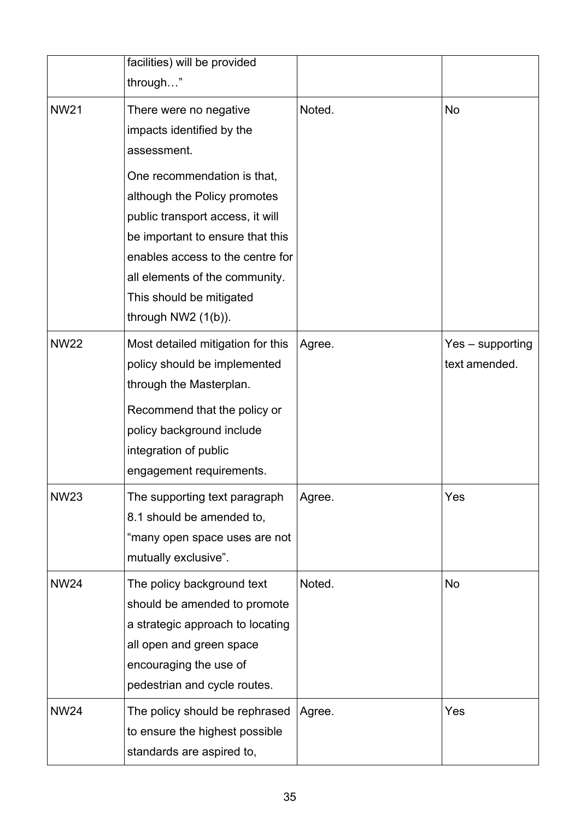|             | facilities) will be provided<br>through"                                                                                                                                                                                                                                                                                             |        |                                     |
|-------------|--------------------------------------------------------------------------------------------------------------------------------------------------------------------------------------------------------------------------------------------------------------------------------------------------------------------------------------|--------|-------------------------------------|
| <b>NW21</b> | There were no negative<br>impacts identified by the<br>assessment.<br>One recommendation is that,<br>although the Policy promotes<br>public transport access, it will<br>be important to ensure that this<br>enables access to the centre for<br>all elements of the community.<br>This should be mitigated<br>through $NW2$ (1(b)). | Noted. | No                                  |
| <b>NW22</b> | Most detailed mitigation for this<br>policy should be implemented<br>through the Masterplan.<br>Recommend that the policy or<br>policy background include<br>integration of public<br>engagement requirements.                                                                                                                       | Agree. | $Yes - supporting$<br>text amended. |
| <b>NW23</b> | The supporting text paragraph<br>8.1 should be amended to,<br>"many open space uses are not<br>mutually exclusive".                                                                                                                                                                                                                  | Agree. | Yes                                 |
| <b>NW24</b> | The policy background text<br>should be amended to promote<br>a strategic approach to locating<br>all open and green space<br>encouraging the use of<br>pedestrian and cycle routes.                                                                                                                                                 | Noted. | No                                  |
| <b>NW24</b> | The policy should be rephrased<br>to ensure the highest possible<br>standards are aspired to,                                                                                                                                                                                                                                        | Agree. | Yes                                 |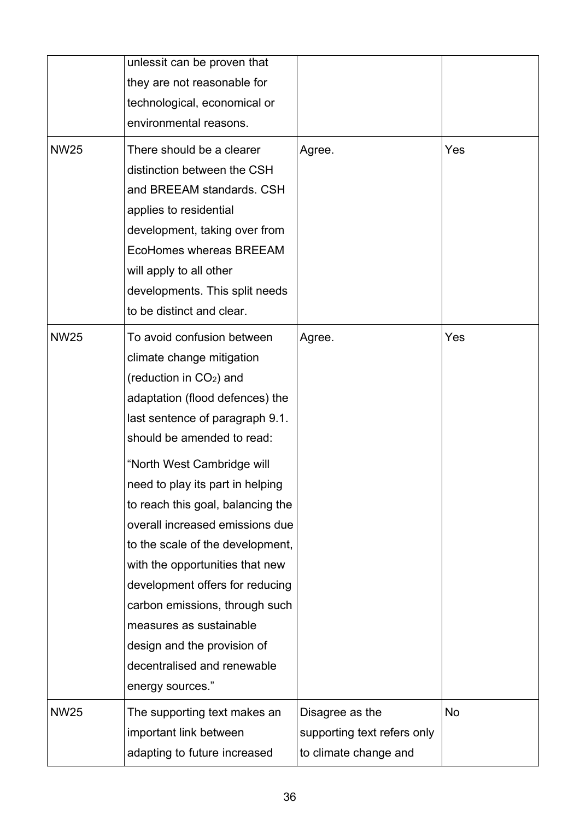|             | unlessit can be proven that<br>they are not reasonable for<br>technological, economical or<br>environmental reasons.                                                                                                                                                                                                                                                                                                                                                                                                                                                                                  |                                                                         |     |
|-------------|-------------------------------------------------------------------------------------------------------------------------------------------------------------------------------------------------------------------------------------------------------------------------------------------------------------------------------------------------------------------------------------------------------------------------------------------------------------------------------------------------------------------------------------------------------------------------------------------------------|-------------------------------------------------------------------------|-----|
| <b>NW25</b> | There should be a clearer<br>distinction between the CSH<br>and BREEAM standards. CSH<br>applies to residential<br>development, taking over from<br>EcoHomes whereas BREEAM<br>will apply to all other<br>developments. This split needs<br>to be distinct and clear.                                                                                                                                                                                                                                                                                                                                 | Agree.                                                                  | Yes |
| <b>NW25</b> | To avoid confusion between<br>climate change mitigation<br>(reduction in CO <sub>2</sub> ) and<br>adaptation (flood defences) the<br>last sentence of paragraph 9.1.<br>should be amended to read:<br>"North West Cambridge will<br>need to play its part in helping<br>to reach this goal, balancing the<br>overall increased emissions due<br>to the scale of the development,<br>with the opportunities that new<br>development offers for reducing<br>carbon emissions, through such<br>measures as sustainable<br>design and the provision of<br>decentralised and renewable<br>energy sources." | Agree.                                                                  | Yes |
| <b>NW25</b> | The supporting text makes an<br>important link between<br>adapting to future increased                                                                                                                                                                                                                                                                                                                                                                                                                                                                                                                | Disagree as the<br>supporting text refers only<br>to climate change and | No  |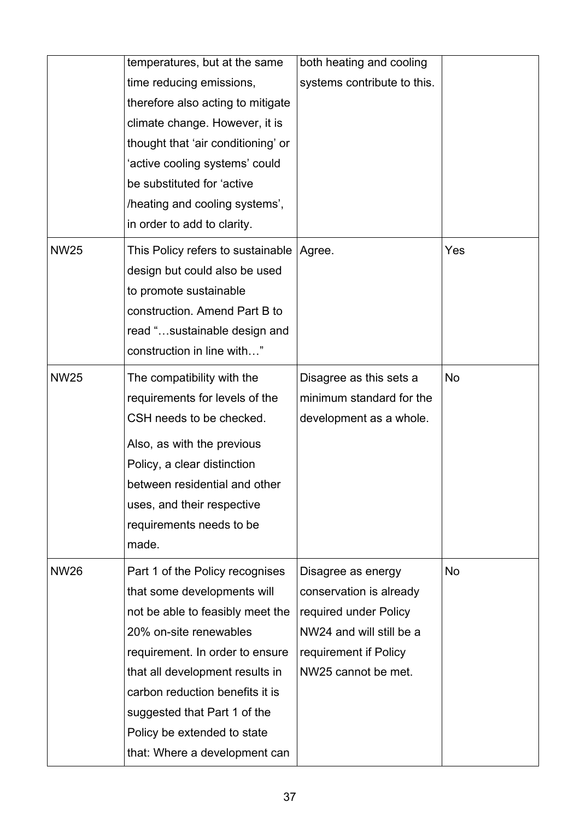|             | temperatures, but at the same            | both heating and cooling    |           |
|-------------|------------------------------------------|-----------------------------|-----------|
|             | time reducing emissions,                 | systems contribute to this. |           |
|             | therefore also acting to mitigate        |                             |           |
|             | climate change. However, it is           |                             |           |
|             | thought that 'air conditioning' or       |                             |           |
|             | 'active cooling systems' could           |                             |           |
|             | be substituted for 'active               |                             |           |
|             | /heating and cooling systems',           |                             |           |
|             | in order to add to clarity.              |                             |           |
| <b>NW25</b> | This Policy refers to sustainable Agree. |                             | Yes       |
|             | design but could also be used            |                             |           |
|             | to promote sustainable                   |                             |           |
|             | construction. Amend Part B to            |                             |           |
|             | read "sustainable design and             |                             |           |
|             | construction in line with"               |                             |           |
| <b>NW25</b> | The compatibility with the               | Disagree as this sets a     | No        |
|             | requirements for levels of the           | minimum standard for the    |           |
|             | CSH needs to be checked.                 | development as a whole.     |           |
|             | Also, as with the previous               |                             |           |
|             | Policy, a clear distinction              |                             |           |
|             | between residential and other            |                             |           |
|             | uses, and their respective               |                             |           |
|             | requirements needs to be                 |                             |           |
|             | made.                                    |                             |           |
| <b>NW26</b> | Part 1 of the Policy recognises          | Disagree as energy          | <b>No</b> |
|             | that some developments will              | conservation is already     |           |
|             | not be able to feasibly meet the         | required under Policy       |           |
|             | 20% on-site renewables                   | NW24 and will still be a    |           |
|             | requirement. In order to ensure          | requirement if Policy       |           |
|             | that all development results in          | NW25 cannot be met.         |           |
|             | carbon reduction benefits it is          |                             |           |
|             | suggested that Part 1 of the             |                             |           |
|             | Policy be extended to state              |                             |           |
|             | that: Where a development can            |                             |           |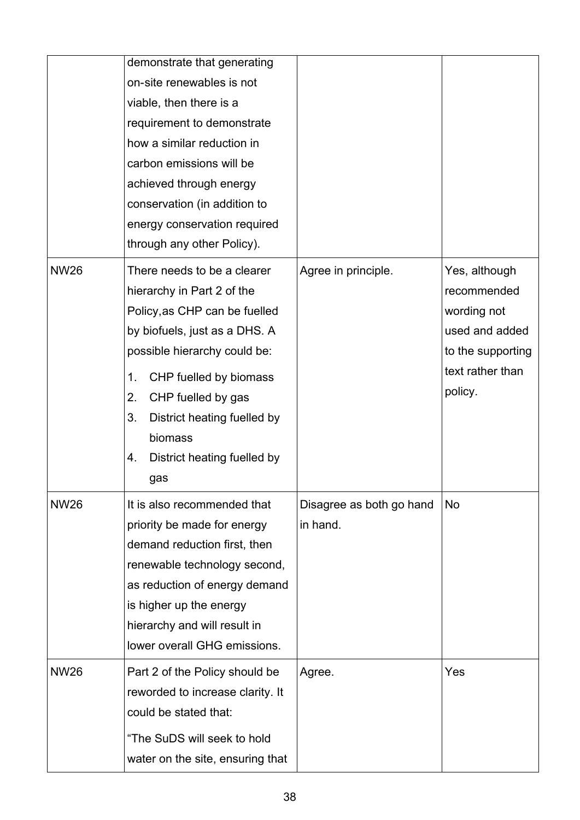|             | demonstrate that generating<br>on-site renewables is not<br>viable, then there is a<br>requirement to demonstrate<br>how a similar reduction in<br>carbon emissions will be<br>achieved through energy<br>conservation (in addition to<br>energy conservation required<br>through any other Policy).                |                                      |                                                                                                                   |
|-------------|---------------------------------------------------------------------------------------------------------------------------------------------------------------------------------------------------------------------------------------------------------------------------------------------------------------------|--------------------------------------|-------------------------------------------------------------------------------------------------------------------|
| <b>NW26</b> | There needs to be a clearer<br>hierarchy in Part 2 of the<br>Policy, as CHP can be fuelled<br>by biofuels, just as a DHS. A<br>possible hierarchy could be:<br>CHP fuelled by biomass<br>1.<br>CHP fuelled by gas<br>2.<br>3.<br>District heating fuelled by<br>biomass<br>District heating fuelled by<br>4.<br>gas | Agree in principle.                  | Yes, although<br>recommended<br>wording not<br>used and added<br>to the supporting<br>text rather than<br>policy. |
| <b>NW26</b> | It is also recommended that<br>priority be made for energy<br>demand reduction first, then<br>renewable technology second,<br>as reduction of energy demand<br>is higher up the energy<br>hierarchy and will result in<br>lower overall GHG emissions.                                                              | Disagree as both go hand<br>in hand. | No                                                                                                                |
| <b>NW26</b> | Part 2 of the Policy should be<br>reworded to increase clarity. It<br>could be stated that:<br>"The SuDS will seek to hold<br>water on the site, ensuring that                                                                                                                                                      | Agree.                               | Yes                                                                                                               |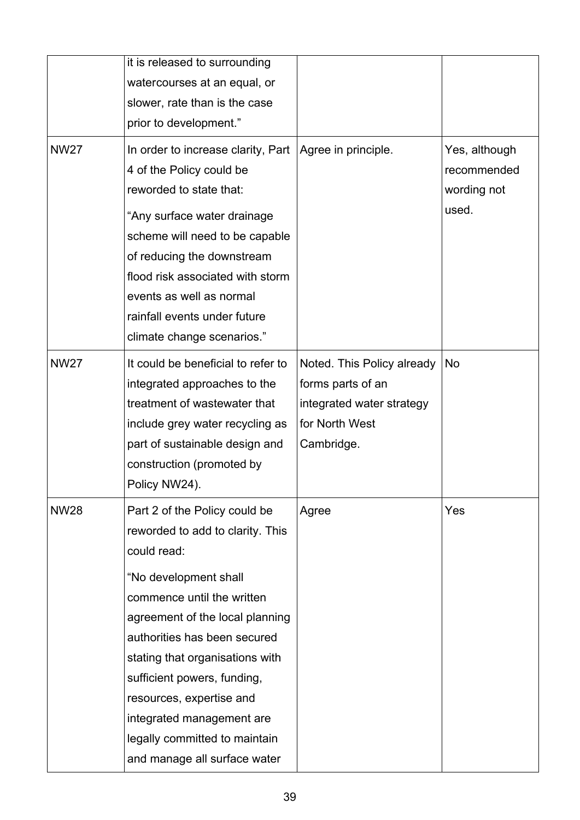|             | it is released to surrounding<br>watercourses at an equal, or<br>slower, rate than is the case<br>prior to development."                                                                                                                                                                                                                                                                               |                                                                                                              |                                                      |
|-------------|--------------------------------------------------------------------------------------------------------------------------------------------------------------------------------------------------------------------------------------------------------------------------------------------------------------------------------------------------------------------------------------------------------|--------------------------------------------------------------------------------------------------------------|------------------------------------------------------|
| <b>NW27</b> | In order to increase clarity, Part   Agree in principle.<br>4 of the Policy could be<br>reworded to state that:<br>"Any surface water drainage<br>scheme will need to be capable<br>of reducing the downstream<br>flood risk associated with storm<br>events as well as normal<br>rainfall events under future<br>climate change scenarios."                                                           |                                                                                                              | Yes, although<br>recommended<br>wording not<br>used. |
| <b>NW27</b> | It could be beneficial to refer to<br>integrated approaches to the<br>treatment of wastewater that<br>include grey water recycling as<br>part of sustainable design and<br>construction (promoted by<br>Policy NW24).                                                                                                                                                                                  | Noted. This Policy already<br>forms parts of an<br>integrated water strategy<br>for North West<br>Cambridge. | No                                                   |
| <b>NW28</b> | Part 2 of the Policy could be<br>reworded to add to clarity. This<br>could read:<br>"No development shall<br>commence until the written<br>agreement of the local planning<br>authorities has been secured<br>stating that organisations with<br>sufficient powers, funding,<br>resources, expertise and<br>integrated management are<br>legally committed to maintain<br>and manage all surface water | Agree                                                                                                        | Yes                                                  |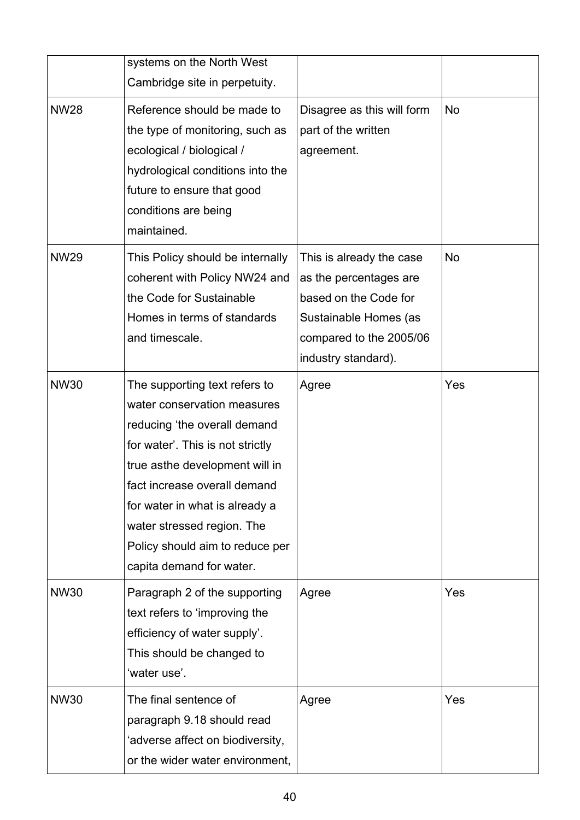|             | systems on the North West<br>Cambridge site in perpetuity.                                                                                                                                                                                                                                                                        |                                                                                                                                                        |     |
|-------------|-----------------------------------------------------------------------------------------------------------------------------------------------------------------------------------------------------------------------------------------------------------------------------------------------------------------------------------|--------------------------------------------------------------------------------------------------------------------------------------------------------|-----|
| <b>NW28</b> | Reference should be made to<br>the type of monitoring, such as<br>ecological / biological /<br>hydrological conditions into the<br>future to ensure that good<br>conditions are being<br>maintained.                                                                                                                              | Disagree as this will form<br>part of the written<br>agreement.                                                                                        | No  |
| <b>NW29</b> | This Policy should be internally<br>coherent with Policy NW24 and<br>the Code for Sustainable<br>Homes in terms of standards<br>and timescale.                                                                                                                                                                                    | This is already the case<br>as the percentages are<br>based on the Code for<br>Sustainable Homes (as<br>compared to the 2005/06<br>industry standard). | No  |
| <b>NW30</b> | The supporting text refers to<br>water conservation measures<br>reducing 'the overall demand<br>for water'. This is not strictly<br>true asthe development will in<br>fact increase overall demand<br>for water in what is already a<br>water stressed region. The<br>Policy should aim to reduce per<br>capita demand for water. | Agree                                                                                                                                                  | Yes |
| <b>NW30</b> | Paragraph 2 of the supporting<br>text refers to 'improving the<br>efficiency of water supply'.<br>This should be changed to<br>'water use'.                                                                                                                                                                                       | Agree                                                                                                                                                  | Yes |
| <b>NW30</b> | The final sentence of<br>paragraph 9.18 should read<br>'adverse affect on biodiversity,<br>or the wider water environment,                                                                                                                                                                                                        | Agree                                                                                                                                                  | Yes |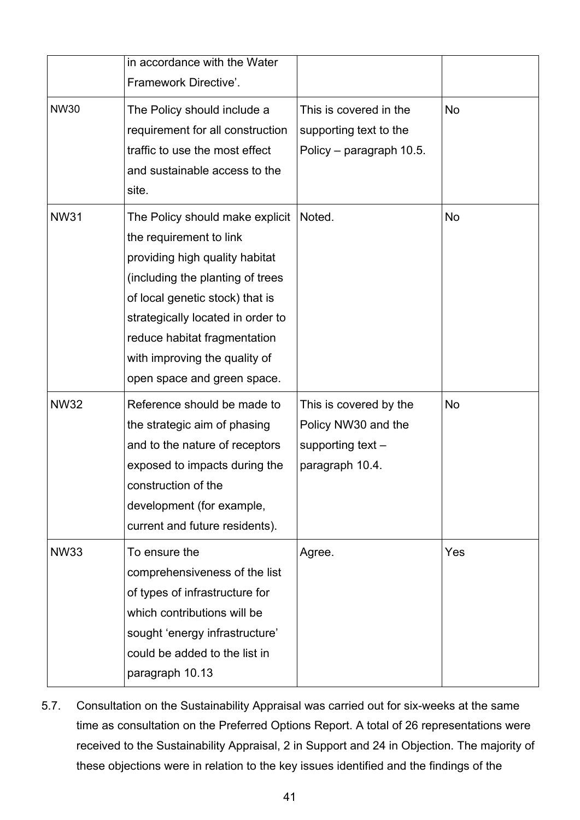|             | in accordance with the Water<br>Framework Directive'.                                                                                                                                                                                                                                                    |                                                                                         |     |
|-------------|----------------------------------------------------------------------------------------------------------------------------------------------------------------------------------------------------------------------------------------------------------------------------------------------------------|-----------------------------------------------------------------------------------------|-----|
| <b>NW30</b> | The Policy should include a<br>requirement for all construction<br>traffic to use the most effect<br>and sustainable access to the<br>site.                                                                                                                                                              | This is covered in the<br>supporting text to the<br>Policy – paragraph 10.5.            | No  |
| <b>NW31</b> | The Policy should make explicit<br>the requirement to link<br>providing high quality habitat<br>(including the planting of trees<br>of local genetic stock) that is<br>strategically located in order to<br>reduce habitat fragmentation<br>with improving the quality of<br>open space and green space. | Noted.                                                                                  | No  |
| <b>NW32</b> | Reference should be made to<br>the strategic aim of phasing<br>and to the nature of receptors<br>exposed to impacts during the<br>construction of the<br>development (for example,<br>current and future residents).                                                                                     | This is covered by the<br>Policy NW30 and the<br>supporting text $-$<br>paragraph 10.4. | No  |
| <b>NW33</b> | To ensure the<br>comprehensiveness of the list<br>of types of infrastructure for<br>which contributions will be<br>sought 'energy infrastructure'<br>could be added to the list in<br>paragraph 10.13                                                                                                    | Agree.                                                                                  | Yes |

5.7. Consultation on the Sustainability Appraisal was carried out for six-weeks at the same time as consultation on the Preferred Options Report. A total of 26 representations were received to the Sustainability Appraisal, 2 in Support and 24 in Objection. The majority of these objections were in relation to the key issues identified and the findings of the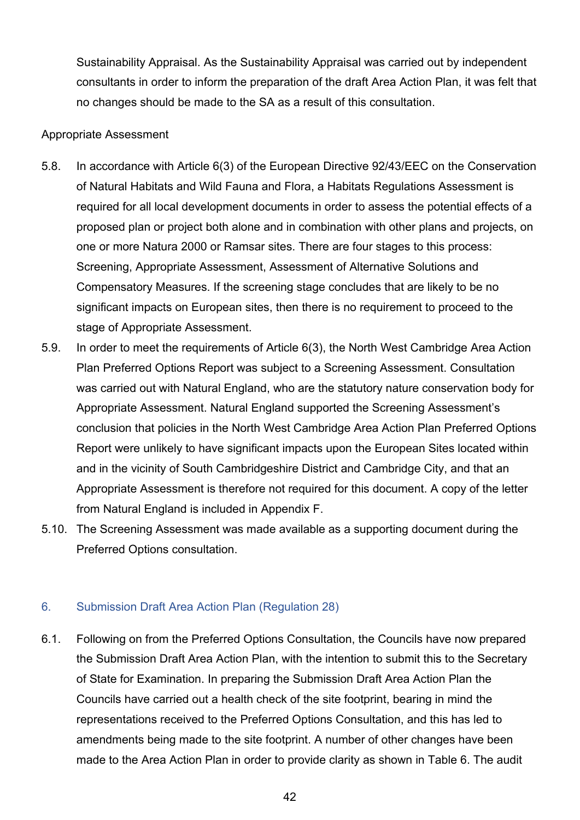Sustainability Appraisal. As the Sustainability Appraisal was carried out by independent consultants in order to inform the preparation of the draft Area Action Plan, it was felt that no changes should be made to the SA as a result of this consultation.

#### Appropriate Assessment

- 5.8. In accordance with Article 6(3) of the European Directive 92/43/EEC on the Conservation of Natural Habitats and Wild Fauna and Flora, a Habitats Regulations Assessment is required for all local development documents in order to assess the potential effects of a proposed plan or project both alone and in combination with other plans and projects, on one or more Natura 2000 or Ramsar sites. There are four stages to this process: Screening, Appropriate Assessment, Assessment of Alternative Solutions and Compensatory Measures. If the screening stage concludes that are likely to be no significant impacts on European sites, then there is no requirement to proceed to the stage of Appropriate Assessment.
- 5.9. In order to meet the requirements of Article 6(3), the North West Cambridge Area Action Plan Preferred Options Report was subject to a Screening Assessment. Consultation was carried out with Natural England, who are the statutory nature conservation body for Appropriate Assessment. Natural England supported the Screening Assessment's conclusion that policies in the North West Cambridge Area Action Plan Preferred Options Report were unlikely to have significant impacts upon the European Sites located within and in the vicinity of South Cambridgeshire District and Cambridge City, and that an Appropriate Assessment is therefore not required for this document. A copy of the letter from Natural England is included in Appendix F.
- 5.10. The Screening Assessment was made available as a supporting document during the Preferred Options consultation.

## 6. Submission Draft Area Action Plan (Regulation 28)

6.1. Following on from the Preferred Options Consultation, the Councils have now prepared the Submission Draft Area Action Plan, with the intention to submit this to the Secretary of State for Examination. In preparing the Submission Draft Area Action Plan the Councils have carried out a health check of the site footprint, bearing in mind the representations received to the Preferred Options Consultation, and this has led to amendments being made to the site footprint. A number of other changes have been made to the Area Action Plan in order to provide clarity as shown in Table 6. The audit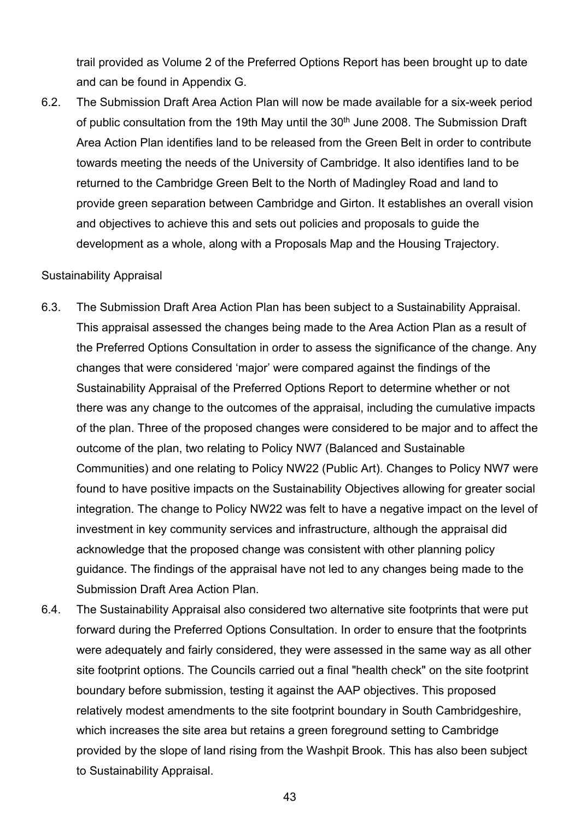trail provided as Volume 2 of the Preferred Options Report has been brought up to date and can be found in Appendix G.

6.2. The Submission Draft Area Action Plan will now be made available for a six-week period of public consultation from the 19th May until the 30<sup>th</sup> June 2008. The Submission Draft Area Action Plan identifies land to be released from the Green Belt in order to contribute towards meeting the needs of the University of Cambridge. It also identifies land to be returned to the Cambridge Green Belt to the North of Madingley Road and land to provide green separation between Cambridge and Girton. It establishes an overall vision and objectives to achieve this and sets out policies and proposals to guide the development as a whole, along with a Proposals Map and the Housing Trajectory.

#### Sustainability Appraisal

- 6.3. The Submission Draft Area Action Plan has been subject to a Sustainability Appraisal. This appraisal assessed the changes being made to the Area Action Plan as a result of the Preferred Options Consultation in order to assess the significance of the change. Any changes that were considered 'major' were compared against the findings of the Sustainability Appraisal of the Preferred Options Report to determine whether or not there was any change to the outcomes of the appraisal, including the cumulative impacts of the plan. Three of the proposed changes were considered to be major and to affect the outcome of the plan, two relating to Policy NW7 (Balanced and Sustainable Communities) and one relating to Policy NW22 (Public Art). Changes to Policy NW7 were found to have positive impacts on the Sustainability Objectives allowing for greater social integration. The change to Policy NW22 was felt to have a negative impact on the level of investment in key community services and infrastructure, although the appraisal did acknowledge that the proposed change was consistent with other planning policy guidance. The findings of the appraisal have not led to any changes being made to the Submission Draft Area Action Plan.
- 6.4. The Sustainability Appraisal also considered two alternative site footprints that were put forward during the Preferred Options Consultation. In order to ensure that the footprints were adequately and fairly considered, they were assessed in the same way as all other site footprint options. The Councils carried out a final "health check" on the site footprint boundary before submission, testing it against the AAP objectives. This proposed relatively modest amendments to the site footprint boundary in South Cambridgeshire, which increases the site area but retains a green foreground setting to Cambridge provided by the slope of land rising from the Washpit Brook. This has also been subject to Sustainability Appraisal.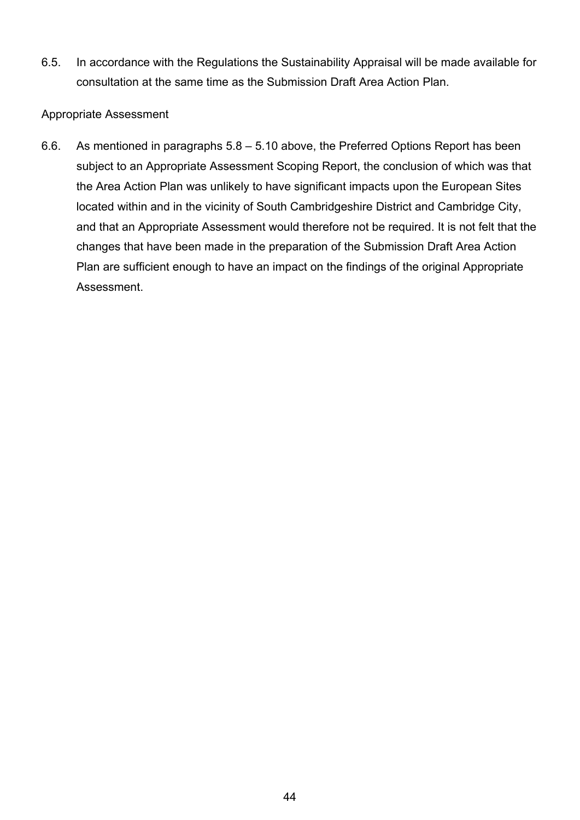6.5. In accordance with the Regulations the Sustainability Appraisal will be made available for consultation at the same time as the Submission Draft Area Action Plan.

#### Appropriate Assessment

6.6. As mentioned in paragraphs 5.8 – 5.10 above, the Preferred Options Report has been subject to an Appropriate Assessment Scoping Report, the conclusion of which was that the Area Action Plan was unlikely to have significant impacts upon the European Sites located within and in the vicinity of South Cambridgeshire District and Cambridge City, and that an Appropriate Assessment would therefore not be required. It is not felt that the changes that have been made in the preparation of the Submission Draft Area Action Plan are sufficient enough to have an impact on the findings of the original Appropriate Assessment.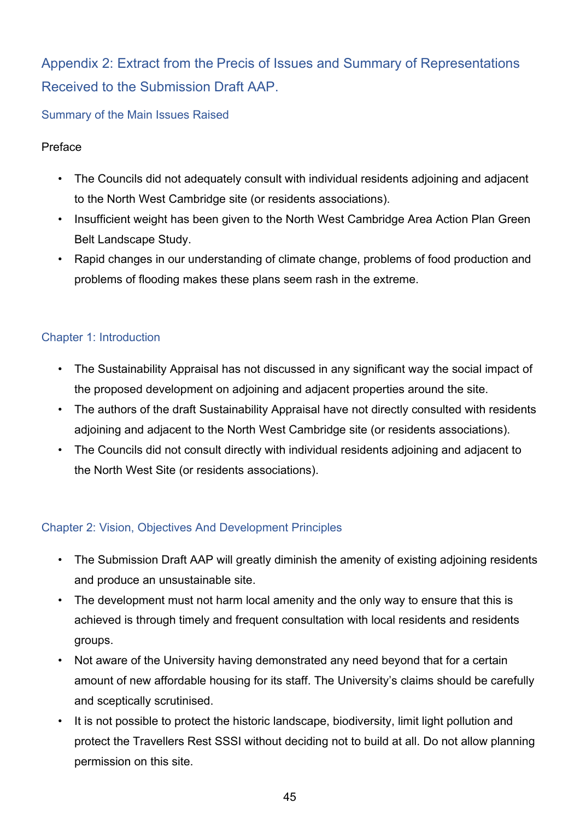## Appendix 2: Extract from the Precis of Issues and Summary of Representations Received to the Submission Draft AAP.

## Summary of the Main Issues Raised

## Preface

- The Councils did not adequately consult with individual residents adjoining and adjacent to the North West Cambridge site (or residents associations).
- Insufficient weight has been given to the North West Cambridge Area Action Plan Green Belt Landscape Study.
- Rapid changes in our understanding of climate change, problems of food production and problems of flooding makes these plans seem rash in the extreme.

## Chapter 1: Introduction

- The Sustainability Appraisal has not discussed in any significant way the social impact of the proposed development on adjoining and adjacent properties around the site.
- The authors of the draft Sustainability Appraisal have not directly consulted with residents adjoining and adjacent to the North West Cambridge site (or residents associations).
- The Councils did not consult directly with individual residents adjoining and adjacent to the North West Site (or residents associations).

## Chapter 2: Vision, Objectives And Development Principles

- The Submission Draft AAP will greatly diminish the amenity of existing adjoining residents and produce an unsustainable site.
- The development must not harm local amenity and the only way to ensure that this is achieved is through timely and frequent consultation with local residents and residents groups.
- Not aware of the University having demonstrated any need beyond that for a certain amount of new affordable housing for its staff. The University's claims should be carefully and sceptically scrutinised.
- It is not possible to protect the historic landscape, biodiversity, limit light pollution and protect the Travellers Rest SSSI without deciding not to build at all. Do not allow planning permission on this site.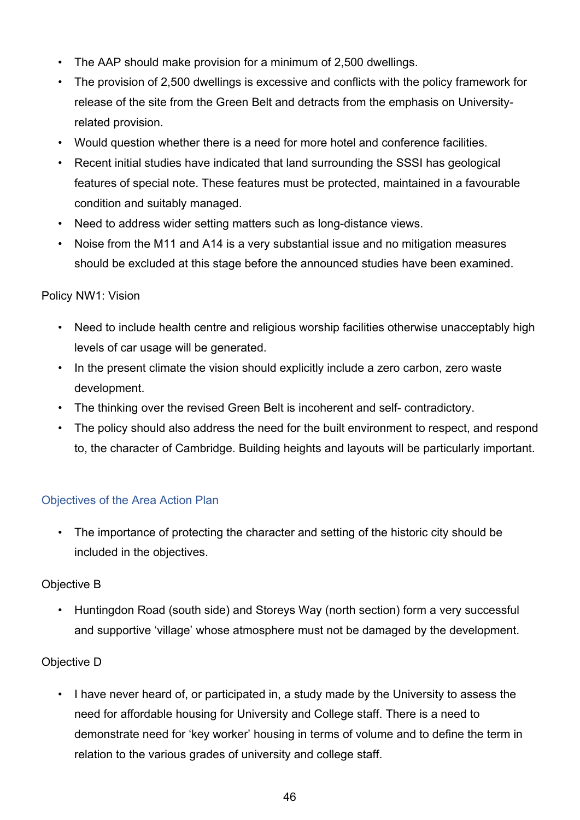- The AAP should make provision for a minimum of 2,500 dwellings.
- The provision of 2,500 dwellings is excessive and conflicts with the policy framework for release of the site from the Green Belt and detracts from the emphasis on Universityrelated provision.
- Would question whether there is a need for more hotel and conference facilities.
- Recent initial studies have indicated that land surrounding the SSSI has geological features of special note. These features must be protected, maintained in a favourable condition and suitably managed.
- Need to address wider setting matters such as long-distance views.
- Noise from the M11 and A14 is a very substantial issue and no mitigation measures should be excluded at this stage before the announced studies have been examined.

## Policy NW1: Vision

- Need to include health centre and religious worship facilities otherwise unacceptably high levels of car usage will be generated.
- In the present climate the vision should explicitly include a zero carbon, zero waste development.
- The thinking over the revised Green Belt is incoherent and self- contradictory.
- The policy should also address the need for the built environment to respect, and respond to, the character of Cambridge. Building heights and layouts will be particularly important.

## Objectives of the Area Action Plan

• The importance of protecting the character and setting of the historic city should be included in the objectives.

## Objective B

• Huntingdon Road (south side) and Storeys Way (north section) form a very successful and supportive 'village' whose atmosphere must not be damaged by the development.

## Objective D

• I have never heard of, or participated in, a study made by the University to assess the need for affordable housing for University and College staff. There is a need to demonstrate need for 'key worker' housing in terms of volume and to define the term in relation to the various grades of university and college staff.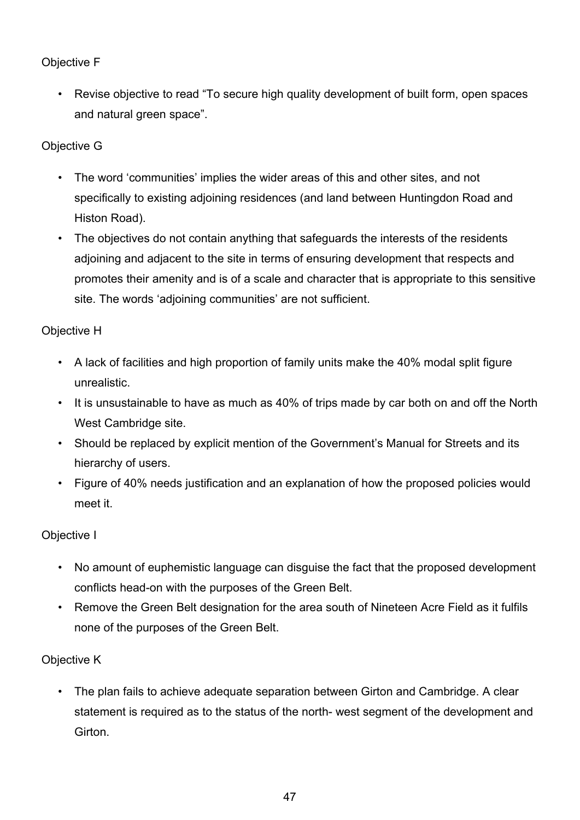## Objective F

• Revise objective to read "To secure high quality development of built form, open spaces and natural green space".

## Objective G

- The word 'communities' implies the wider areas of this and other sites, and not specifically to existing adjoining residences (and land between Huntingdon Road and Histon Road).
- The objectives do not contain anything that safeguards the interests of the residents adjoining and adjacent to the site in terms of ensuring development that respects and promotes their amenity and is of a scale and character that is appropriate to this sensitive site. The words 'adjoining communities' are not sufficient.

## Objective H

- A lack of facilities and high proportion of family units make the 40% modal split figure unrealistic.
- It is unsustainable to have as much as 40% of trips made by car both on and off the North West Cambridge site.
- Should be replaced by explicit mention of the Government's Manual for Streets and its hierarchy of users.
- Figure of 40% needs justification and an explanation of how the proposed policies would meet it.

## Objective I

- No amount of euphemistic language can disguise the fact that the proposed development conflicts head-on with the purposes of the Green Belt.
- Remove the Green Belt designation for the area south of Nineteen Acre Field as it fulfils none of the purposes of the Green Belt.

## Objective K

• The plan fails to achieve adequate separation between Girton and Cambridge. A clear statement is required as to the status of the north- west segment of the development and **Girton**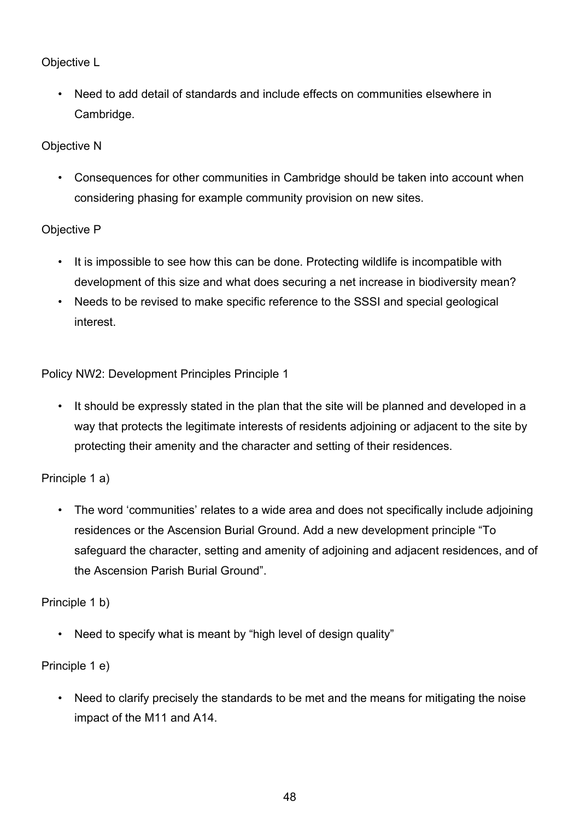## Objective L

• Need to add detail of standards and include effects on communities elsewhere in Cambridge.

## Objective N

• Consequences for other communities in Cambridge should be taken into account when considering phasing for example community provision on new sites.

## Objective P

- It is impossible to see how this can be done. Protecting wildlife is incompatible with development of this size and what does securing a net increase in biodiversity mean?
- Needs to be revised to make specific reference to the SSSI and special geological interest.

Policy NW2: Development Principles Principle 1

• It should be expressly stated in the plan that the site will be planned and developed in a way that protects the legitimate interests of residents adjoining or adjacent to the site by protecting their amenity and the character and setting of their residences.

## Principle 1 a)

• The word 'communities' relates to a wide area and does not specifically include adjoining residences or the Ascension Burial Ground. Add a new development principle "To safeguard the character, setting and amenity of adjoining and adjacent residences, and of the Ascension Parish Burial Ground".

## Principle 1 b)

• Need to specify what is meant by "high level of design quality"

## Principle 1 e)

• Need to clarify precisely the standards to be met and the means for mitigating the noise impact of the M11 and A14.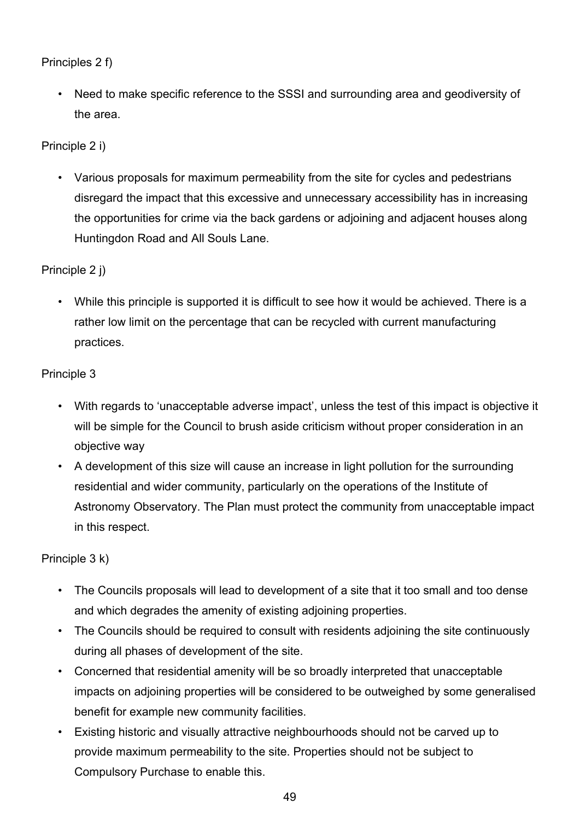## Principles 2 f)

• Need to make specific reference to the SSSI and surrounding area and geodiversity of the area.

## Principle 2 i)

• Various proposals for maximum permeability from the site for cycles and pedestrians disregard the impact that this excessive and unnecessary accessibility has in increasing the opportunities for crime via the back gardens or adjoining and adjacent houses along Huntingdon Road and All Souls Lane.

## Principle 2 j)

• While this principle is supported it is difficult to see how it would be achieved. There is a rather low limit on the percentage that can be recycled with current manufacturing practices.

## Principle 3

- With regards to 'unacceptable adverse impact', unless the test of this impact is objective it will be simple for the Council to brush aside criticism without proper consideration in an objective way
- A development of this size will cause an increase in light pollution for the surrounding residential and wider community, particularly on the operations of the Institute of Astronomy Observatory. The Plan must protect the community from unacceptable impact in this respect.

## Principle 3 k)

- The Councils proposals will lead to development of a site that it too small and too dense and which degrades the amenity of existing adjoining properties.
- The Councils should be required to consult with residents adjoining the site continuously during all phases of development of the site.
- Concerned that residential amenity will be so broadly interpreted that unacceptable impacts on adjoining properties will be considered to be outweighed by some generalised benefit for example new community facilities.
- Existing historic and visually attractive neighbourhoods should not be carved up to provide maximum permeability to the site. Properties should not be subject to Compulsory Purchase to enable this.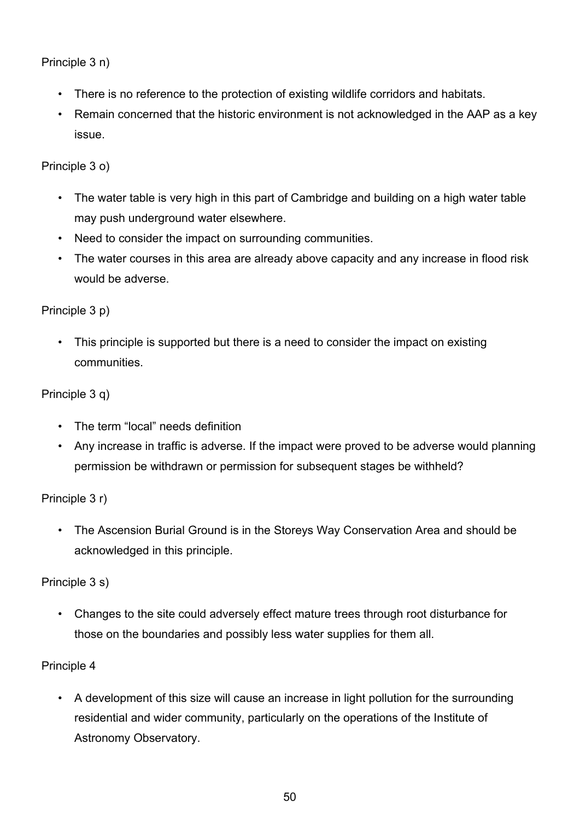Principle 3 n)

- There is no reference to the protection of existing wildlife corridors and habitats.
- Remain concerned that the historic environment is not acknowledged in the AAP as a key issue.

Principle 3 o)

- The water table is very high in this part of Cambridge and building on a high water table may push underground water elsewhere.
- Need to consider the impact on surrounding communities.
- The water courses in this area are already above capacity and any increase in flood risk would be adverse.

Principle 3 p)

• This principle is supported but there is a need to consider the impact on existing communities.

#### Principle 3 q)

- The term "local" needs definition
- Any increase in traffic is adverse. If the impact were proved to be adverse would planning permission be withdrawn or permission for subsequent stages be withheld?

Principle 3 r)

• The Ascension Burial Ground is in the Storeys Way Conservation Area and should be acknowledged in this principle.

Principle 3 s)

• Changes to the site could adversely effect mature trees through root disturbance for those on the boundaries and possibly less water supplies for them all.

## Principle 4

• A development of this size will cause an increase in light pollution for the surrounding residential and wider community, particularly on the operations of the Institute of Astronomy Observatory.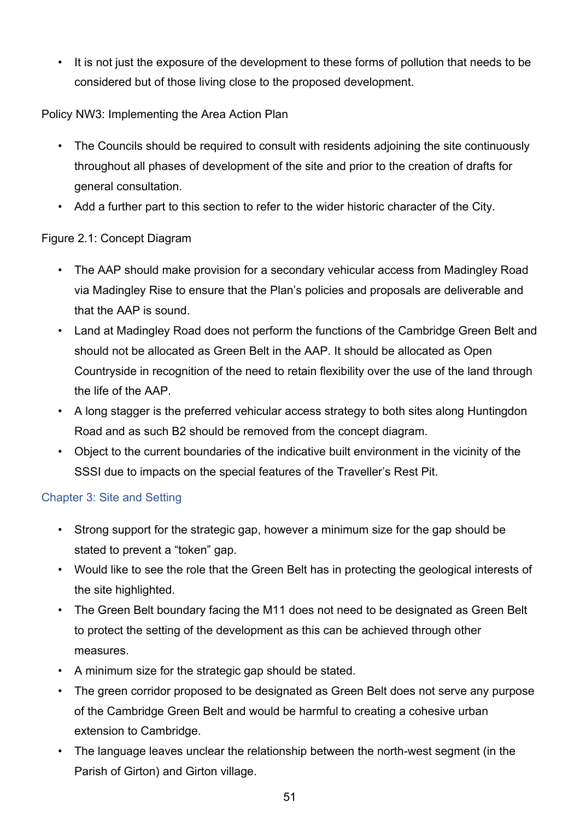• It is not just the exposure of the development to these forms of pollution that needs to be considered but of those living close to the proposed development.

Policy NW3: Implementing the Area Action Plan

- The Councils should be required to consult with residents adjoining the site continuously throughout all phases of development of the site and prior to the creation of drafts for general consultation.
- Add a further part to this section to refer to the wider historic character of the City.

## Figure 2.1: Concept Diagram

- The AAP should make provision for a secondary vehicular access from Madingley Road via Madingley Rise to ensure that the Plan's policies and proposals are deliverable and that the AAP is sound.
- Land at Madingley Road does not perform the functions of the Cambridge Green Belt and should not be allocated as Green Belt in the AAP. It should be allocated as Open Countryside in recognition of the need to retain flexibility over the use of the land through the life of the AAP.
- A long stagger is the preferred vehicular access strategy to both sites along Huntingdon Road and as such B2 should be removed from the concept diagram.
- Object to the current boundaries of the indicative built environment in the vicinity of the SSSI due to impacts on the special features of the Traveller's Rest Pit.

## Chapter 3: Site and Setting

- Strong support for the strategic gap, however a minimum size for the gap should be stated to prevent a "token" gap.
- Would like to see the role that the Green Belt has in protecting the geological interests of the site highlighted.
- The Green Belt boundary facing the M11 does not need to be designated as Green Belt to protect the setting of the development as this can be achieved through other measures.
- A minimum size for the strategic gap should be stated.
- The green corridor proposed to be designated as Green Belt does not serve any purpose of the Cambridge Green Belt and would be harmful to creating a cohesive urban extension to Cambridge.
- The language leaves unclear the relationship between the north-west segment (in the Parish of Girton) and Girton village.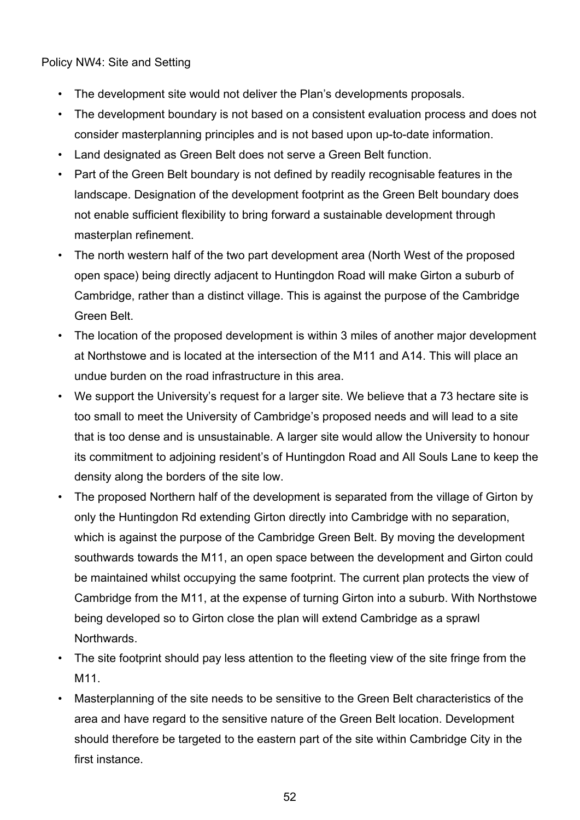Policy NW4: Site and Setting

- The development site would not deliver the Plan's developments proposals.
- The development boundary is not based on a consistent evaluation process and does not consider masterplanning principles and is not based upon up-to-date information.
- Land designated as Green Belt does not serve a Green Belt function.
- Part of the Green Belt boundary is not defined by readily recognisable features in the landscape. Designation of the development footprint as the Green Belt boundary does not enable sufficient flexibility to bring forward a sustainable development through masterplan refinement.
- The north western half of the two part development area (North West of the proposed open space) being directly adjacent to Huntingdon Road will make Girton a suburb of Cambridge, rather than a distinct village. This is against the purpose of the Cambridge Green Belt.
- The location of the proposed development is within 3 miles of another major development at Northstowe and is located at the intersection of the M11 and A14. This will place an undue burden on the road infrastructure in this area.
- We support the University's request for a larger site. We believe that a 73 hectare site is too small to meet the University of Cambridge's proposed needs and will lead to a site that is too dense and is unsustainable. A larger site would allow the University to honour its commitment to adjoining resident's of Huntingdon Road and All Souls Lane to keep the density along the borders of the site low.
- The proposed Northern half of the development is separated from the village of Girton by only the Huntingdon Rd extending Girton directly into Cambridge with no separation, which is against the purpose of the Cambridge Green Belt. By moving the development southwards towards the M11, an open space between the development and Girton could be maintained whilst occupying the same footprint. The current plan protects the view of Cambridge from the M11, at the expense of turning Girton into a suburb. With Northstowe being developed so to Girton close the plan will extend Cambridge as a sprawl Northwards.
- The site footprint should pay less attention to the fleeting view of the site fringe from the M<sub>11</sub>
- Masterplanning of the site needs to be sensitive to the Green Belt characteristics of the area and have regard to the sensitive nature of the Green Belt location. Development should therefore be targeted to the eastern part of the site within Cambridge City in the first instance.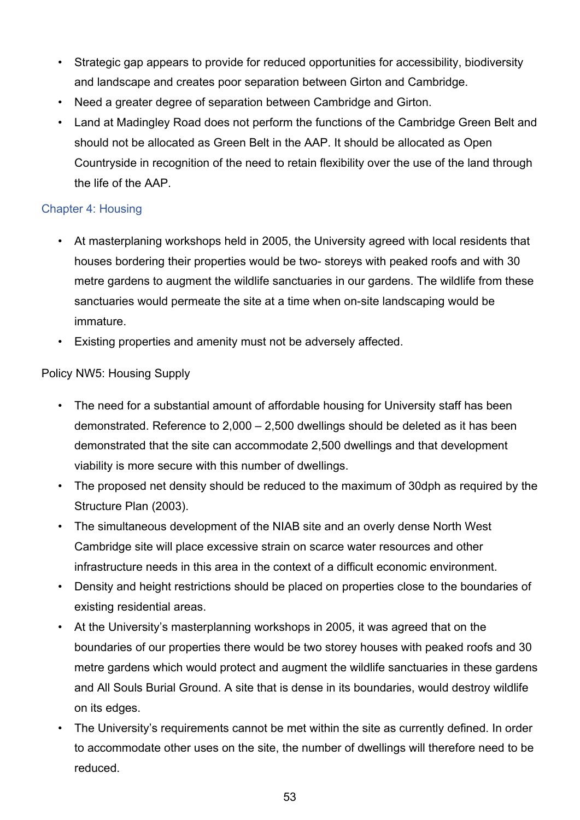- Strategic gap appears to provide for reduced opportunities for accessibility, biodiversity and landscape and creates poor separation between Girton and Cambridge.
- Need a greater degree of separation between Cambridge and Girton.
- Land at Madingley Road does not perform the functions of the Cambridge Green Belt and should not be allocated as Green Belt in the AAP. It should be allocated as Open Countryside in recognition of the need to retain flexibility over the use of the land through the life of the AAP.

## Chapter 4: Housing

- At masterplaning workshops held in 2005, the University agreed with local residents that houses bordering their properties would be two- storeys with peaked roofs and with 30 metre gardens to augment the wildlife sanctuaries in our gardens. The wildlife from these sanctuaries would permeate the site at a time when on-site landscaping would be immature.
- Existing properties and amenity must not be adversely affected.

## Policy NW5: Housing Supply

- The need for a substantial amount of affordable housing for University staff has been demonstrated. Reference to 2,000 – 2,500 dwellings should be deleted as it has been demonstrated that the site can accommodate 2,500 dwellings and that development viability is more secure with this number of dwellings.
- The proposed net density should be reduced to the maximum of 30dph as required by the Structure Plan (2003).
- The simultaneous development of the NIAB site and an overly dense North West Cambridge site will place excessive strain on scarce water resources and other infrastructure needs in this area in the context of a difficult economic environment.
- Density and height restrictions should be placed on properties close to the boundaries of existing residential areas.
- At the University's masterplanning workshops in 2005, it was agreed that on the boundaries of our properties there would be two storey houses with peaked roofs and 30 metre gardens which would protect and augment the wildlife sanctuaries in these gardens and All Souls Burial Ground. A site that is dense in its boundaries, would destroy wildlife on its edges.
- The University's requirements cannot be met within the site as currently defined. In order to accommodate other uses on the site, the number of dwellings will therefore need to be reduced.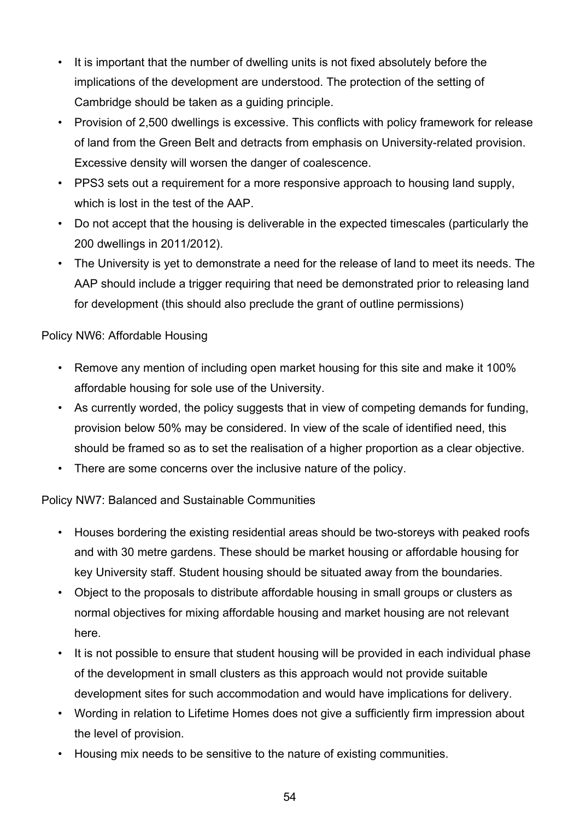- It is important that the number of dwelling units is not fixed absolutely before the implications of the development are understood. The protection of the setting of Cambridge should be taken as a guiding principle.
- Provision of 2,500 dwellings is excessive. This conflicts with policy framework for release of land from the Green Belt and detracts from emphasis on University-related provision. Excessive density will worsen the danger of coalescence.
- PPS3 sets out a requirement for a more responsive approach to housing land supply, which is lost in the test of the AAP.
- Do not accept that the housing is deliverable in the expected timescales (particularly the 200 dwellings in 2011/2012).
- The University is yet to demonstrate a need for the release of land to meet its needs. The AAP should include a trigger requiring that need be demonstrated prior to releasing land for development (this should also preclude the grant of outline permissions)

## Policy NW6: Affordable Housing

- Remove any mention of including open market housing for this site and make it 100% affordable housing for sole use of the University.
- As currently worded, the policy suggests that in view of competing demands for funding, provision below 50% may be considered. In view of the scale of identified need, this should be framed so as to set the realisation of a higher proportion as a clear objective.
- There are some concerns over the inclusive nature of the policy.

## Policy NW7: Balanced and Sustainable Communities

- Houses bordering the existing residential areas should be two-storeys with peaked roofs and with 30 metre gardens. These should be market housing or affordable housing for key University staff. Student housing should be situated away from the boundaries.
- Object to the proposals to distribute affordable housing in small groups or clusters as normal objectives for mixing affordable housing and market housing are not relevant here.
- It is not possible to ensure that student housing will be provided in each individual phase of the development in small clusters as this approach would not provide suitable development sites for such accommodation and would have implications for delivery.
- Wording in relation to Lifetime Homes does not give a sufficiently firm impression about the level of provision.
- Housing mix needs to be sensitive to the nature of existing communities.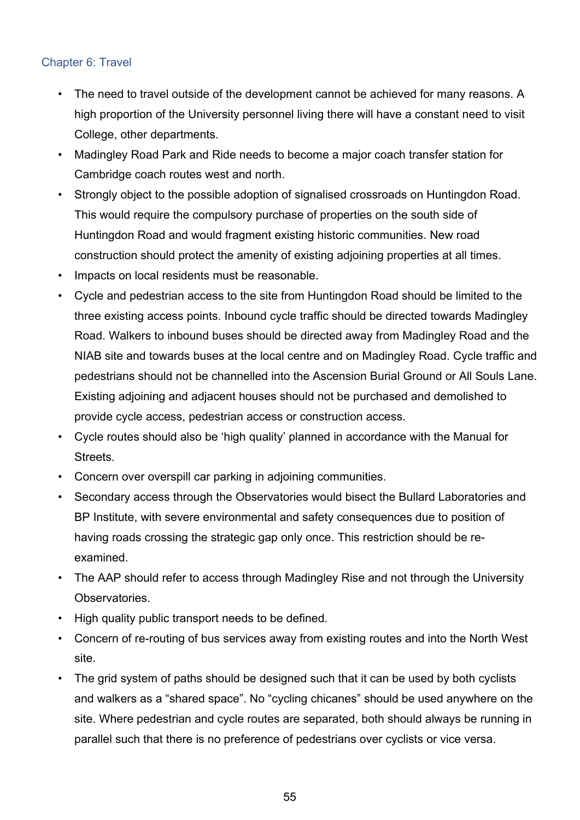## Chapter 6: Travel

- The need to travel outside of the development cannot be achieved for many reasons. A high proportion of the University personnel living there will have a constant need to visit College, other departments.
- Madingley Road Park and Ride needs to become a major coach transfer station for Cambridge coach routes west and north.
- Strongly object to the possible adoption of signalised crossroads on Huntingdon Road. This would require the compulsory purchase of properties on the south side of Huntingdon Road and would fragment existing historic communities. New road construction should protect the amenity of existing adjoining properties at all times.
- Impacts on local residents must be reasonable.
- Cycle and pedestrian access to the site from Huntingdon Road should be limited to the three existing access points. Inbound cycle traffic should be directed towards Madingley Road. Walkers to inbound buses should be directed away from Madingley Road and the NIAB site and towards buses at the local centre and on Madingley Road. Cycle traffic and pedestrians should not be channelled into the Ascension Burial Ground or All Souls Lane. Existing adjoining and adjacent houses should not be purchased and demolished to provide cycle access, pedestrian access or construction access.
- Cycle routes should also be 'high quality' planned in accordance with the Manual for **Streets**
- Concern over overspill car parking in adjoining communities.
- Secondary access through the Observatories would bisect the Bullard Laboratories and BP Institute, with severe environmental and safety consequences due to position of having roads crossing the strategic gap only once. This restriction should be reexamined.
- The AAP should refer to access through Madingley Rise and not through the University Observatories.
- High quality public transport needs to be defined.
- Concern of re-routing of bus services away from existing routes and into the North West site.
- The grid system of paths should be designed such that it can be used by both cyclists and walkers as a "shared space". No "cycling chicanes" should be used anywhere on the site. Where pedestrian and cycle routes are separated, both should always be running in parallel such that there is no preference of pedestrians over cyclists or vice versa.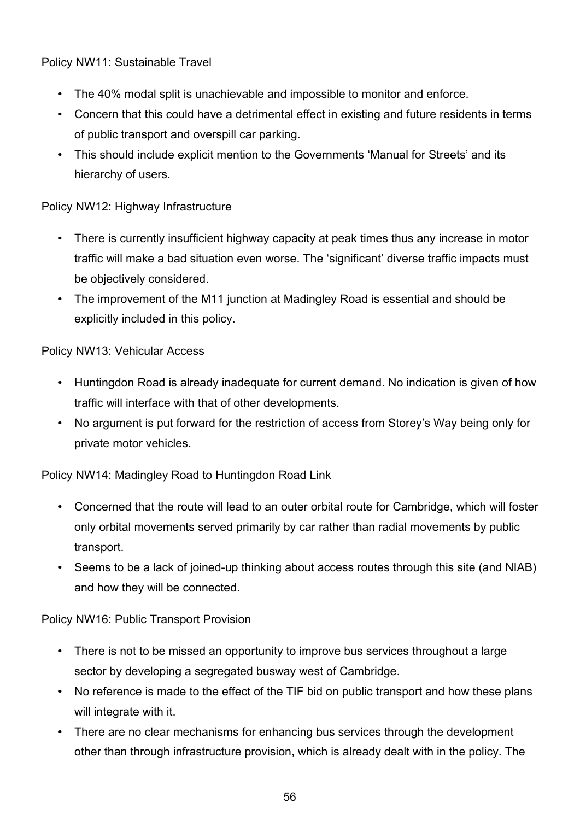Policy NW11: Sustainable Travel

- The 40% modal split is unachievable and impossible to monitor and enforce.
- Concern that this could have a detrimental effect in existing and future residents in terms of public transport and overspill car parking.
- This should include explicit mention to the Governments 'Manual for Streets' and its hierarchy of users.

## Policy NW12: Highway Infrastructure

- There is currently insufficient highway capacity at peak times thus any increase in motor traffic will make a bad situation even worse. The 'significant' diverse traffic impacts must be objectively considered.
- The improvement of the M11 junction at Madingley Road is essential and should be explicitly included in this policy.

## Policy NW13: Vehicular Access

- Huntingdon Road is already inadequate for current demand. No indication is given of how traffic will interface with that of other developments.
- No argument is put forward for the restriction of access from Storey's Way being only for private motor vehicles.

Policy NW14: Madingley Road to Huntingdon Road Link

- Concerned that the route will lead to an outer orbital route for Cambridge, which will foster only orbital movements served primarily by car rather than radial movements by public transport.
- Seems to be a lack of joined-up thinking about access routes through this site (and NIAB) and how they will be connected.

Policy NW16: Public Transport Provision

- There is not to be missed an opportunity to improve bus services throughout a large sector by developing a segregated busway west of Cambridge.
- No reference is made to the effect of the TIF bid on public transport and how these plans will integrate with it.
- There are no clear mechanisms for enhancing bus services through the development other than through infrastructure provision, which is already dealt with in the policy. The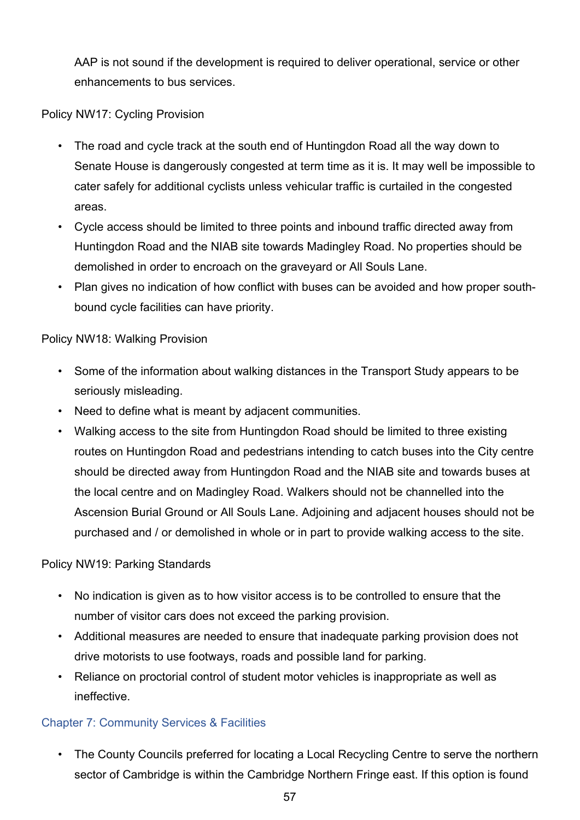AAP is not sound if the development is required to deliver operational, service or other enhancements to bus services.

Policy NW17: Cycling Provision

- The road and cycle track at the south end of Huntingdon Road all the way down to Senate House is dangerously congested at term time as it is. It may well be impossible to cater safely for additional cyclists unless vehicular traffic is curtailed in the congested areas.
- Cycle access should be limited to three points and inbound traffic directed away from Huntingdon Road and the NIAB site towards Madingley Road. No properties should be demolished in order to encroach on the graveyard or All Souls Lane.
- Plan gives no indication of how conflict with buses can be avoided and how proper southbound cycle facilities can have priority.

Policy NW18: Walking Provision

- Some of the information about walking distances in the Transport Study appears to be seriously misleading.
- Need to define what is meant by adjacent communities.
- Walking access to the site from Huntingdon Road should be limited to three existing routes on Huntingdon Road and pedestrians intending to catch buses into the City centre should be directed away from Huntingdon Road and the NIAB site and towards buses at the local centre and on Madingley Road. Walkers should not be channelled into the Ascension Burial Ground or All Souls Lane. Adjoining and adjacent houses should not be purchased and / or demolished in whole or in part to provide walking access to the site.

Policy NW19: Parking Standards

- No indication is given as to how visitor access is to be controlled to ensure that the number of visitor cars does not exceed the parking provision.
- Additional measures are needed to ensure that inadequate parking provision does not drive motorists to use footways, roads and possible land for parking.
- Reliance on proctorial control of student motor vehicles is inappropriate as well as ineffective.

## Chapter 7: Community Services & Facilities

• The County Councils preferred for locating a Local Recycling Centre to serve the northern sector of Cambridge is within the Cambridge Northern Fringe east. If this option is found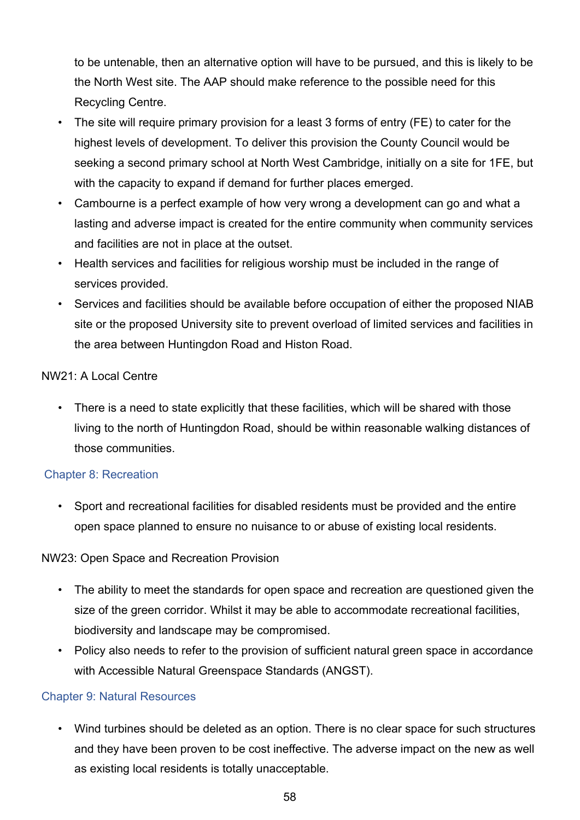to be untenable, then an alternative option will have to be pursued, and this is likely to be the North West site. The AAP should make reference to the possible need for this Recycling Centre.

- The site will require primary provision for a least 3 forms of entry (FE) to cater for the highest levels of development. To deliver this provision the County Council would be seeking a second primary school at North West Cambridge, initially on a site for 1FE, but with the capacity to expand if demand for further places emerged.
- Cambourne is a perfect example of how very wrong a development can go and what a lasting and adverse impact is created for the entire community when community services and facilities are not in place at the outset.
- Health services and facilities for religious worship must be included in the range of services provided.
- Services and facilities should be available before occupation of either the proposed NIAB site or the proposed University site to prevent overload of limited services and facilities in the area between Huntingdon Road and Histon Road.

## NW21: A Local Centre

• There is a need to state explicitly that these facilities, which will be shared with those living to the north of Huntingdon Road, should be within reasonable walking distances of those communities.

## Chapter 8: Recreation

• Sport and recreational facilities for disabled residents must be provided and the entire open space planned to ensure no nuisance to or abuse of existing local residents.

## NW23: Open Space and Recreation Provision

- The ability to meet the standards for open space and recreation are questioned given the size of the green corridor. Whilst it may be able to accommodate recreational facilities, biodiversity and landscape may be compromised.
- Policy also needs to refer to the provision of sufficient natural green space in accordance with Accessible Natural Greenspace Standards (ANGST).

## Chapter 9: Natural Resources

• Wind turbines should be deleted as an option. There is no clear space for such structures and they have been proven to be cost ineffective. The adverse impact on the new as well as existing local residents is totally unacceptable.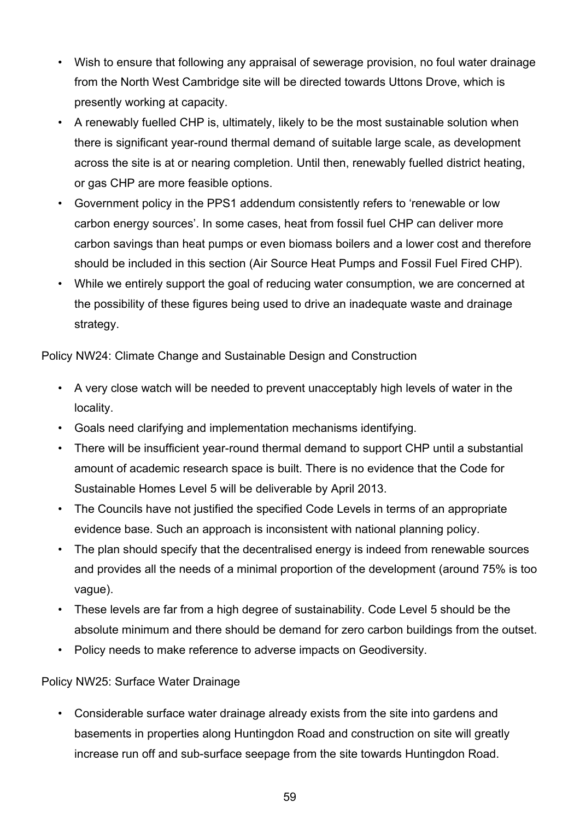- Wish to ensure that following any appraisal of sewerage provision, no foul water drainage from the North West Cambridge site will be directed towards Uttons Drove, which is presently working at capacity.
- A renewably fuelled CHP is, ultimately, likely to be the most sustainable solution when there is significant year-round thermal demand of suitable large scale, as development across the site is at or nearing completion. Until then, renewably fuelled district heating, or gas CHP are more feasible options.
- Government policy in the PPS1 addendum consistently refers to 'renewable or low carbon energy sources'. In some cases, heat from fossil fuel CHP can deliver more carbon savings than heat pumps or even biomass boilers and a lower cost and therefore should be included in this section (Air Source Heat Pumps and Fossil Fuel Fired CHP).
- While we entirely support the goal of reducing water consumption, we are concerned at the possibility of these figures being used to drive an inadequate waste and drainage strategy.

Policy NW24: Climate Change and Sustainable Design and Construction

- A very close watch will be needed to prevent unacceptably high levels of water in the locality.
- Goals need clarifying and implementation mechanisms identifying.
- There will be insufficient year-round thermal demand to support CHP until a substantial amount of academic research space is built. There is no evidence that the Code for Sustainable Homes Level 5 will be deliverable by April 2013.
- The Councils have not justified the specified Code Levels in terms of an appropriate evidence base. Such an approach is inconsistent with national planning policy.
- The plan should specify that the decentralised energy is indeed from renewable sources and provides all the needs of a minimal proportion of the development (around 75% is too vague).
- These levels are far from a high degree of sustainability. Code Level 5 should be the absolute minimum and there should be demand for zero carbon buildings from the outset.
- Policy needs to make reference to adverse impacts on Geodiversity.

Policy NW25: Surface Water Drainage

• Considerable surface water drainage already exists from the site into gardens and basements in properties along Huntingdon Road and construction on site will greatly increase run off and sub-surface seepage from the site towards Huntingdon Road.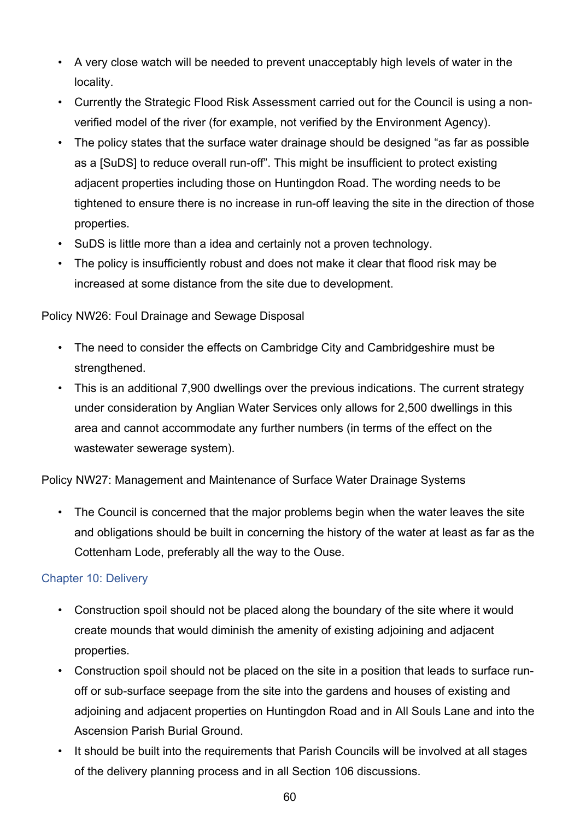- A very close watch will be needed to prevent unacceptably high levels of water in the locality.
- Currently the Strategic Flood Risk Assessment carried out for the Council is using a nonverified model of the river (for example, not verified by the Environment Agency).
- The policy states that the surface water drainage should be designed "as far as possible as a [SuDS] to reduce overall run-off". This might be insufficient to protect existing adjacent properties including those on Huntingdon Road. The wording needs to be tightened to ensure there is no increase in run-off leaving the site in the direction of those properties.
- SuDS is little more than a idea and certainly not a proven technology.
- The policy is insufficiently robust and does not make it clear that flood risk may be increased at some distance from the site due to development.

Policy NW26: Foul Drainage and Sewage Disposal

- The need to consider the effects on Cambridge City and Cambridgeshire must be strengthened.
- This is an additional 7,900 dwellings over the previous indications. The current strategy under consideration by Anglian Water Services only allows for 2,500 dwellings in this area and cannot accommodate any further numbers (in terms of the effect on the wastewater sewerage system).

Policy NW27: Management and Maintenance of Surface Water Drainage Systems

• The Council is concerned that the major problems begin when the water leaves the site and obligations should be built in concerning the history of the water at least as far as the Cottenham Lode, preferably all the way to the Ouse.

## Chapter 10: Delivery

- Construction spoil should not be placed along the boundary of the site where it would create mounds that would diminish the amenity of existing adjoining and adjacent properties.
- Construction spoil should not be placed on the site in a position that leads to surface runoff or sub-surface seepage from the site into the gardens and houses of existing and adjoining and adjacent properties on Huntingdon Road and in All Souls Lane and into the Ascension Parish Burial Ground.
- It should be built into the requirements that Parish Councils will be involved at all stages of the delivery planning process and in all Section 106 discussions.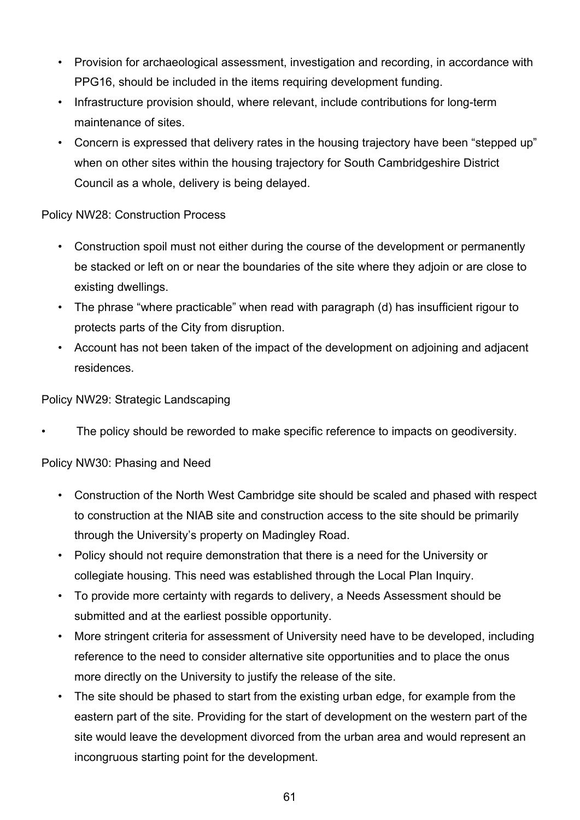- Provision for archaeological assessment, investigation and recording, in accordance with PPG16, should be included in the items requiring development funding.
- Infrastructure provision should, where relevant, include contributions for long-term maintenance of sites.
- Concern is expressed that delivery rates in the housing trajectory have been "stepped up" when on other sites within the housing trajectory for South Cambridgeshire District Council as a whole, delivery is being delayed.

## Policy NW28: Construction Process

- Construction spoil must not either during the course of the development or permanently be stacked or left on or near the boundaries of the site where they adjoin or are close to existing dwellings.
- The phrase "where practicable" when read with paragraph (d) has insufficient rigour to protects parts of the City from disruption.
- Account has not been taken of the impact of the development on adjoining and adjacent residences.

## Policy NW29: Strategic Landscaping

The policy should be reworded to make specific reference to impacts on geodiversity.

## Policy NW30: Phasing and Need

- Construction of the North West Cambridge site should be scaled and phased with respect to construction at the NIAB site and construction access to the site should be primarily through the University's property on Madingley Road.
- Policy should not require demonstration that there is a need for the University or collegiate housing. This need was established through the Local Plan Inquiry.
- To provide more certainty with regards to delivery, a Needs Assessment should be submitted and at the earliest possible opportunity.
- More stringent criteria for assessment of University need have to be developed, including reference to the need to consider alternative site opportunities and to place the onus more directly on the University to justify the release of the site.
- The site should be phased to start from the existing urban edge, for example from the eastern part of the site. Providing for the start of development on the western part of the site would leave the development divorced from the urban area and would represent an incongruous starting point for the development.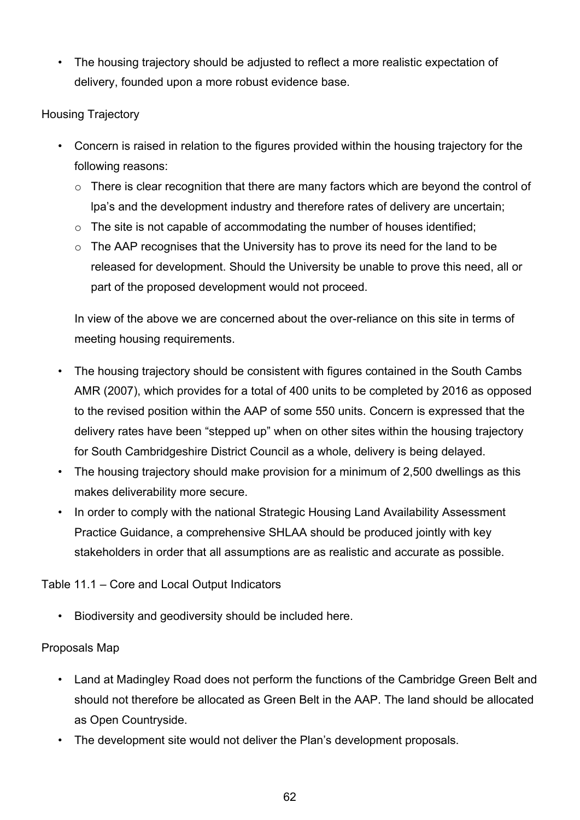• The housing trajectory should be adjusted to reflect a more realistic expectation of delivery, founded upon a more robust evidence base.

## Housing Trajectory

- Concern is raised in relation to the figures provided within the housing trajectory for the following reasons:
	- $\circ$  There is clear recognition that there are many factors which are beyond the control of lpa's and the development industry and therefore rates of delivery are uncertain;
	- $\circ$  The site is not capable of accommodating the number of houses identified;
	- $\circ$  The AAP recognises that the University has to prove its need for the land to be released for development. Should the University be unable to prove this need, all or part of the proposed development would not proceed.

In view of the above we are concerned about the over-reliance on this site in terms of meeting housing requirements.

- The housing trajectory should be consistent with figures contained in the South Cambs AMR (2007), which provides for a total of 400 units to be completed by 2016 as opposed to the revised position within the AAP of some 550 units. Concern is expressed that the delivery rates have been "stepped up" when on other sites within the housing trajectory for South Cambridgeshire District Council as a whole, delivery is being delayed.
- The housing trajectory should make provision for a minimum of 2,500 dwellings as this makes deliverability more secure.
- In order to comply with the national Strategic Housing Land Availability Assessment Practice Guidance, a comprehensive SHLAA should be produced jointly with key stakeholders in order that all assumptions are as realistic and accurate as possible.

Table 11.1 – Core and Local Output Indicators

• Biodiversity and geodiversity should be included here.

## Proposals Map

- Land at Madingley Road does not perform the functions of the Cambridge Green Belt and should not therefore be allocated as Green Belt in the AAP. The land should be allocated as Open Countryside.
- The development site would not deliver the Plan's development proposals.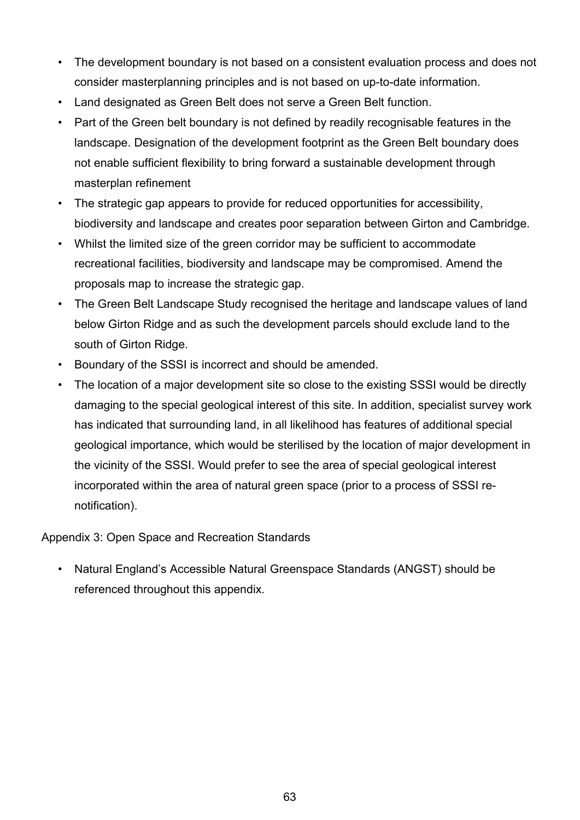- The development boundary is not based on a consistent evaluation process and does not consider masterplanning principles and is not based on up-to-date information.
- Land designated as Green Belt does not serve a Green Belt function.
- Part of the Green belt boundary is not defined by readily recognisable features in the landscape. Designation of the development footprint as the Green Belt boundary does not enable sufficient flexibility to bring forward a sustainable development through masterplan refinement
- The strategic gap appears to provide for reduced opportunities for accessibility, biodiversity and landscape and creates poor separation between Girton and Cambridge.
- Whilst the limited size of the green corridor may be sufficient to accommodate recreational facilities, biodiversity and landscape may be compromised. Amend the proposals map to increase the strategic gap.
- The Green Belt Landscape Study recognised the heritage and landscape values of land below Girton Ridge and as such the development parcels should exclude land to the south of Girton Ridge.
- Boundary of the SSSI is incorrect and should be amended.
- The location of a major development site so close to the existing SSSI would be directly damaging to the special geological interest of this site. In addition, specialist survey work has indicated that surrounding land, in all likelihood has features of additional special geological importance, which would be sterilised by the location of major development in the vicinity of the SSSI. Would prefer to see the area of special geological interest incorporated within the area of natural green space (prior to a process of SSSI renotification).

Appendix 3: Open Space and Recreation Standards

• Natural England's Accessible Natural Greenspace Standards (ANGST) should be referenced throughout this appendix.